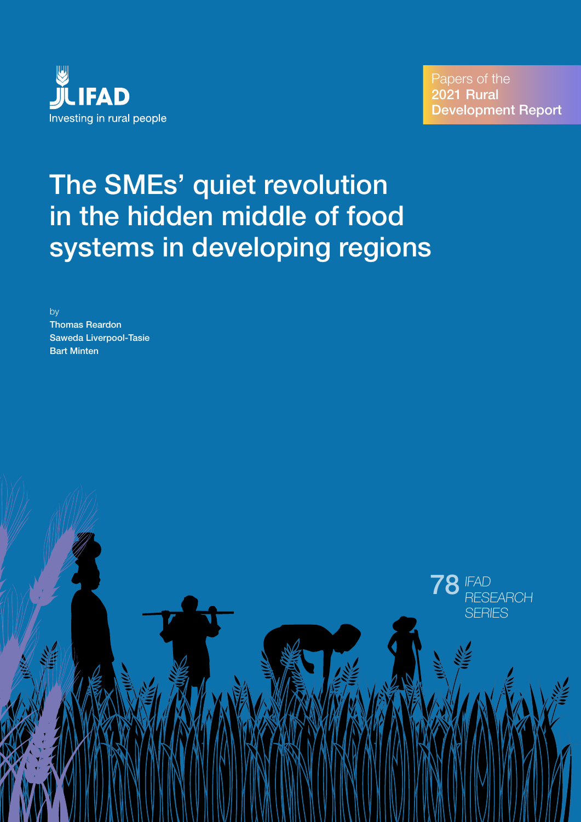

IFAD 78 **FAD**<br>RESEARCH

**SFRIES** 

# The SMEs' quiet revolution in the hidden middle of food systems in developing regions

by

Thomas Reardon Saweda Liverpool-Tasie Bart Minten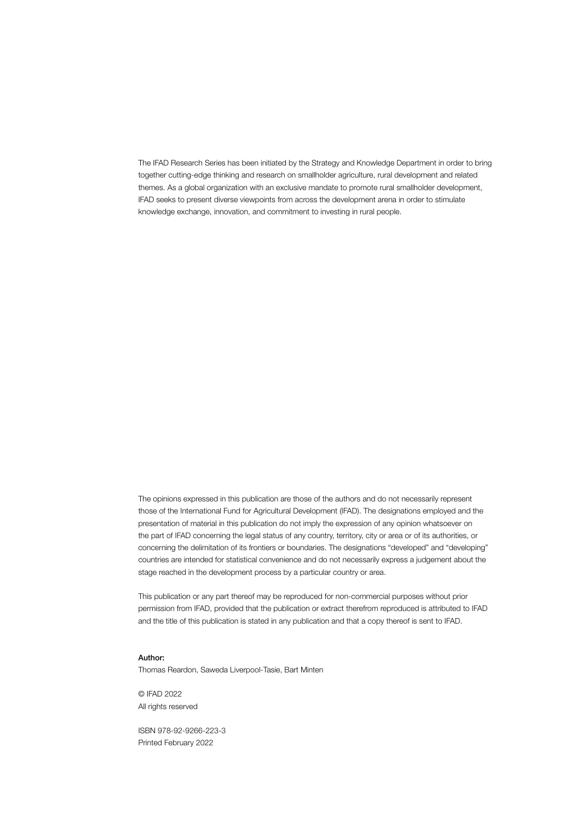The IFAD Research Series has been initiated by the Strategy and Knowledge Department in order to bring together cutting-edge thinking and research on smallholder agriculture, rural development and related themes. As a global organization with an exclusive mandate to promote rural smallholder development, IFAD seeks to present diverse viewpoints from across the development arena in order to stimulate knowledge exchange, innovation, and commitment to investing in rural people.

The opinions expressed in this publication are those of the authors and do not necessarily represent those of the International Fund for Agricultural Development (IFAD). The designations employed and the presentation of material in this publication do not imply the expression of any opinion whatsoever on the part of IFAD concerning the legal status of any country, territory, city or area or of its authorities, or concerning the delimitation of its frontiers or boundaries. The designations "developed" and "developing" countries are intended for statistical convenience and do not necessarily express a judgement about the stage reached in the development process by a particular country or area.

This publication or any part thereof may be reproduced for non-commercial purposes without prior permission from IFAD, provided that the publication or extract therefrom reproduced is attributed to IFAD and the title of this publication is stated in any publication and that a copy thereof is sent to IFAD.

#### Author:

Thomas Reardon, Saweda Liverpool-Tasie, Bart Minten

© IFAD 2022 All rights reserved

ISBN 978-92-9266-223-3 Printed February 2022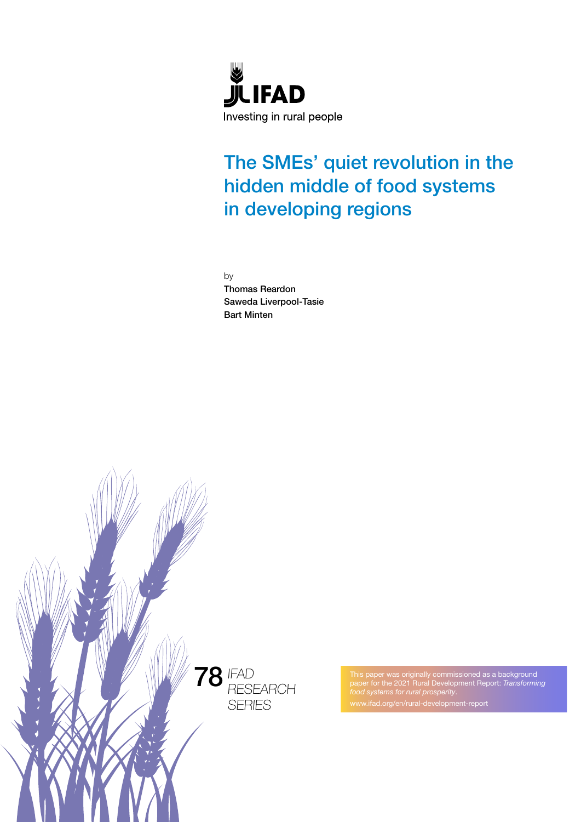

# The SMEs' quiet revolution in the hidden middle of food systems in developing regions

by

Thomas Reardon Saweda Liverpool-Tasie Bart Minten



This paper was originally commissioned as a background paper for the 2021 Rural Development Report: *Transforming*  www.ifad.org/en/rural-development-report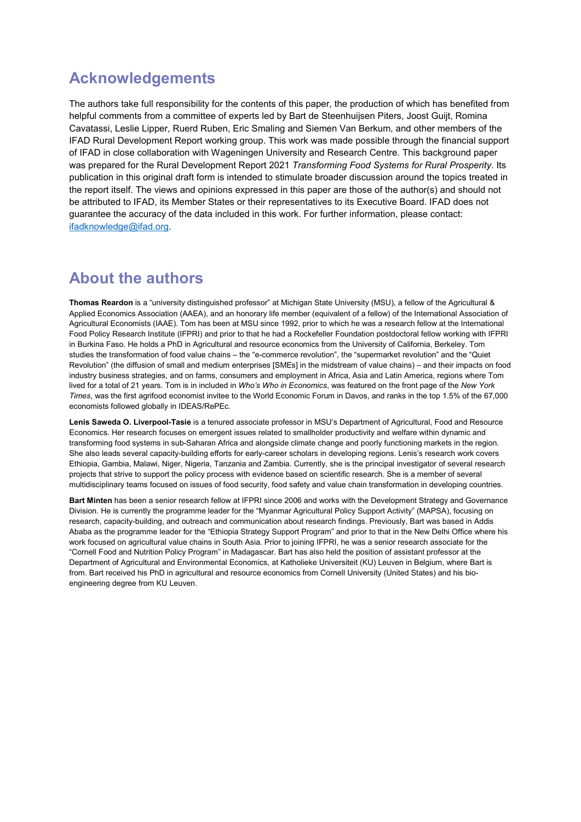## **Acknowledgements**

The authors take full responsibility for the contents of this paper, the production of which has benefited from helpful comments from a committee of experts led by Bart de Steenhuijsen Piters, Joost Guijt, Romina Cavatassi, Leslie Lipper, Ruerd Ruben, Eric Smaling and Siemen Van Berkum, and other members of the IFAD Rural Development Report working group. This work was made possible through the financial support of IFAD in close collaboration with Wageningen University and Research Centre. This background paper was prepared for the Rural Development Report 2021 *Transforming Food Systems for Rural Prosperity*. Its publication in this original draft form is intended to stimulate broader discussion around the topics treated in the report itself. The views and opinions expressed in this paper are those of the author(s) and should not be attributed to IFAD, its Member States or their representatives to its Executive Board. IFAD does not guarantee the accuracy of the data included in this work. For further information, please contact: [ifadknowledge@ifad.org.](mailto:ifadknowledge@ifad.org)

# **About the authors**

**Thomas Reardon** is a "university distinguished professor" at Michigan State University (MSU), a fellow of the Agricultural & Applied Economics Association (AAEA), and an honorary life member (equivalent of a fellow) of the International Association of Agricultural Economists (IAAE). Tom has been at MSU since 1992, prior to which he was a research fellow at the International Food Policy Research Institute (IFPRI) and prior to that he had a Rockefeller Foundation postdoctoral fellow working with IFPRI in Burkina Faso. He holds a PhD in Agricultural and resource economics from the University of California, Berkeley. Tom studies the transformation of food value chains – the "e-commerce revolution", the "supermarket revolution" and the "Quiet Revolution" (the diffusion of small and medium enterprises [SMEs] in the midstream of value chains) – and their impacts on food industry business strategies, and on farms, consumers and employment in Africa, Asia and Latin America, regions where Tom lived for a total of 21 years. Tom is in included in *Who's Who in Economics*, was featured on the front page of the *New York Times*, was the first agrifood economist invitee to the World Economic Forum in Davos, and ranks in the top 1.5% of the 67,000 economists followed globally in IDEAS/RePEc.

**Lenis Saweda O. Liverpool-Tasie** is a tenured associate professor in MSU's Department of Agricultural, Food and Resource Economics. Her research focuses on emergent issues related to smallholder productivity and welfare within dynamic and transforming food systems in sub-Saharan Africa and alongside climate change and poorly functioning markets in the region. She also leads several capacity-building efforts for early-career scholars in developing regions. Lenis's research work covers Ethiopia, Gambia, Malawi, Niger, Nigeria, Tanzania and Zambia. Currently, she is the principal investigator of several research projects that strive to support the policy process with evidence based on scientific research. She is a member of several multidisciplinary teams focused on issues of food security, food safety and value chain transformation in developing countries.

**Bart Minten** has been a senior research fellow at IFPRI since 2006 and works with the Development Strategy and Governance Division. He is currently the programme leader for the "Myanmar Agricultural Policy Support Activity" (MAPSA), focusing on research, capacity-building, and outreach and communication about research findings. Previously, Bart was based in Addis Ababa as the programme leader for the "Ethiopia Strategy Support Program" and prior to that in the New Delhi Office where his work focused on agricultural value chains in South Asia. Prior to joining IFPRI, he was a senior research associate for the "Cornell Food and Nutrition Policy Program" in Madagascar. Bart has also held the position of assistant professor at the Department of Agricultural and Environmental Economics, at Katholieke Universiteit (KU) Leuven in Belgium, where Bart is from. Bart received his PhD in agricultural and resource economics from Cornell University (United States) and his bioengineering degree from KU Leuven.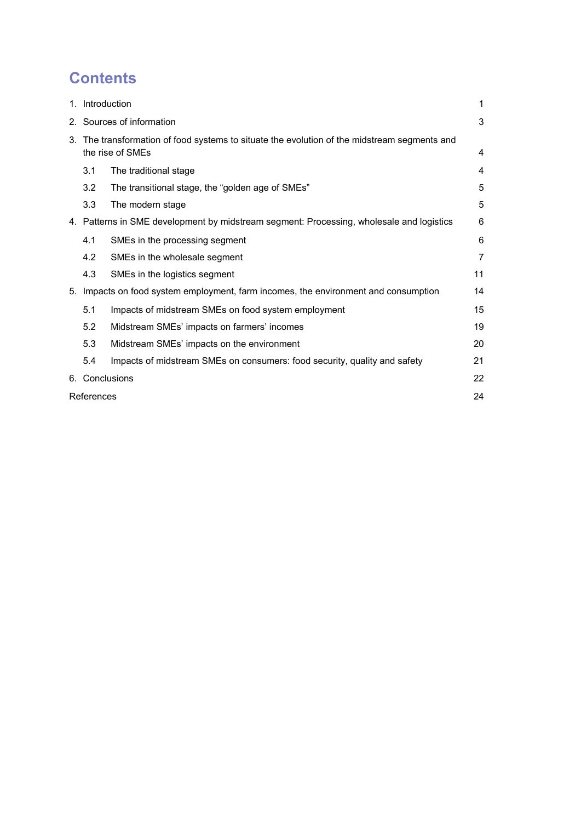# **Contents**

|    | 1. Introduction                                                                                               |                                                                           | 1  |
|----|---------------------------------------------------------------------------------------------------------------|---------------------------------------------------------------------------|----|
|    | 2. Sources of information                                                                                     |                                                                           | 3  |
| 3. | The transformation of food systems to situate the evolution of the midstream segments and<br>the rise of SMEs |                                                                           | 4  |
|    | 3.1                                                                                                           | The traditional stage                                                     | 4  |
|    | 3.2                                                                                                           | The transitional stage, the "golden age of SMEs"                          | 5  |
|    | 3.3                                                                                                           | The modern stage                                                          | 5  |
|    | 4. Patterns in SME development by midstream segment: Processing, wholesale and logistics                      |                                                                           | 6  |
|    | 4.1                                                                                                           | SMEs in the processing segment                                            | 6  |
|    | 4.2                                                                                                           | SMEs in the wholesale segment                                             | 7  |
|    | 4.3                                                                                                           | SMEs in the logistics segment                                             | 11 |
| 5. | Impacts on food system employment, farm incomes, the environment and consumption                              |                                                                           | 14 |
|    | 5.1                                                                                                           | Impacts of midstream SMEs on food system employment                       | 15 |
|    | 5.2                                                                                                           | Midstream SMEs' impacts on farmers' incomes                               | 19 |
|    | 5.3                                                                                                           | Midstream SMEs' impacts on the environment                                | 20 |
|    | 5.4                                                                                                           | Impacts of midstream SMEs on consumers: food security, quality and safety | 21 |
|    | 6. Conclusions                                                                                                |                                                                           | 22 |
|    | References                                                                                                    |                                                                           |    |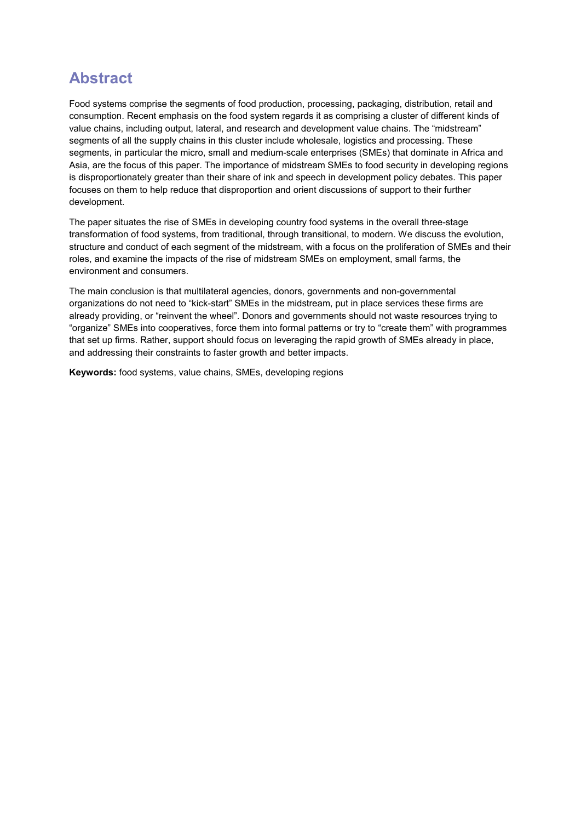# **Abstract**

Food systems comprise the segments of food production, processing, packaging, distribution, retail and consumption. Recent emphasis on the food system regards it as comprising a cluster of different kinds of value chains, including output, lateral, and research and development value chains. The "midstream" segments of all the supply chains in this cluster include wholesale, logistics and processing. These segments, in particular the micro, small and medium-scale enterprises (SMEs) that dominate in Africa and Asia, are the focus of this paper. The importance of midstream SMEs to food security in developing regions is disproportionately greater than their share of ink and speech in development policy debates. This paper focuses on them to help reduce that disproportion and orient discussions of support to their further development.

The paper situates the rise of SMEs in developing country food systems in the overall three-stage transformation of food systems, from traditional, through transitional, to modern. We discuss the evolution, structure and conduct of each segment of the midstream, with a focus on the proliferation of SMEs and their roles, and examine the impacts of the rise of midstream SMEs on employment, small farms, the environment and consumers.

The main conclusion is that multilateral agencies, donors, governments and non-governmental organizations do not need to "kick-start" SMEs in the midstream, put in place services these firms are already providing, or "reinvent the wheel". Donors and governments should not waste resources trying to "organize" SMEs into cooperatives, force them into formal patterns or try to "create them" with programmes that set up firms. Rather, support should focus on leveraging the rapid growth of SMEs already in place, and addressing their constraints to faster growth and better impacts.

**Keywords:** food systems, value chains, SMEs, developing regions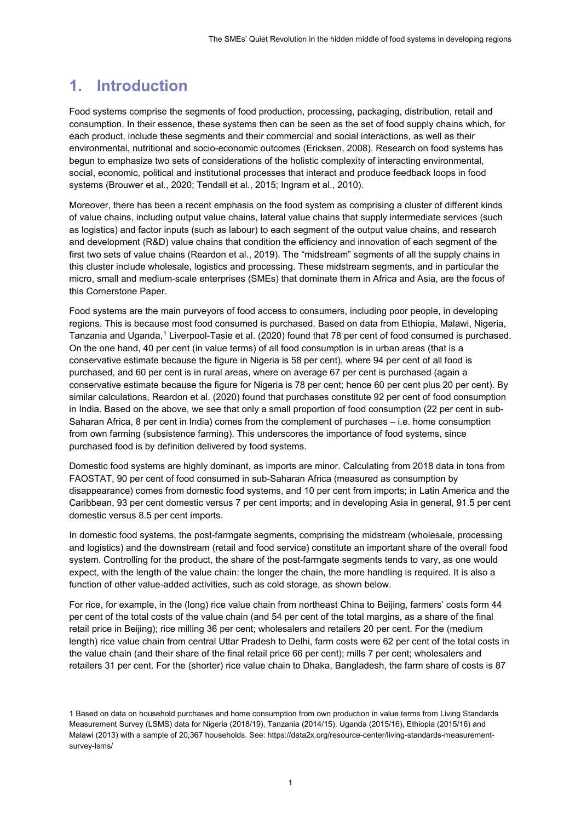# **1. Introduction**

Food systems comprise the segments of food production, processing, packaging, distribution, retail and consumption. In their essence, these systems then can be seen as the set of food supply chains which, for each product, include these segments and their commercial and social interactions, as well as their environmental, nutritional and socio-economic outcomes (Ericksen, 2008). Research on food systems has begun to emphasize two sets of considerations of the holistic complexity of interacting environmental, social, economic, political and institutional processes that interact and produce feedback loops in food systems (Brouwer et al., 2020; Tendall et al., 2015; Ingram et al., 2010).

Moreover, there has been a recent emphasis on the food system as comprising a cluster of different kinds of value chains, including output value chains, lateral value chains that supply intermediate services (such as logistics) and factor inputs (such as labour) to each segment of the output value chains, and research and development (R&D) value chains that condition the efficiency and innovation of each segment of the first two sets of value chains (Reardon et al., 2019). The "midstream" segments of all the supply chains in this cluster include wholesale, logistics and processing. These midstream segments, and in particular the micro, small and medium-scale enterprises (SMEs) that dominate them in Africa and Asia, are the focus of this Cornerstone Paper.

Food systems are the main purveyors of food access to consumers, including poor people, in developing regions. This is because most food consumed is purchased. Based on data from Ethiopia, Malawi, Nigeria, Tanzania and Uganda, [1](#page-6-0) Liverpool-Tasie et al. (2020) found that 78 per cent of food consumed is purchased. On the one hand, 40 per cent (in value terms) of all food consumption is in urban areas (that is a conservative estimate because the figure in Nigeria is 58 per cent), where 94 per cent of all food is purchased, and 60 per cent is in rural areas, where on average 67 per cent is purchased (again a conservative estimate because the figure for Nigeria is 78 per cent; hence 60 per cent plus 20 per cent). By similar calculations, Reardon et al. (2020) found that purchases constitute 92 per cent of food consumption in India. Based on the above, we see that only a small proportion of food consumption (22 per cent in sub-Saharan Africa, 8 per cent in India) comes from the complement of purchases – i.e. home consumption from own farming (subsistence farming). This underscores the importance of food systems, since purchased food is by definition delivered by food systems.

Domestic food systems are highly dominant, as imports are minor. Calculating from 2018 data in tons from FAOSTAT, 90 per cent of food consumed in sub-Saharan Africa (measured as consumption by disappearance) comes from domestic food systems, and 10 per cent from imports; in Latin America and the Caribbean, 93 per cent domestic versus 7 per cent imports; and in developing Asia in general, 91.5 per cent domestic versus 8.5 per cent imports.

In domestic food systems, the post-farmgate segments, comprising the midstream (wholesale, processing and logistics) and the downstream (retail and food service) constitute an important share of the overall food system. Controlling for the product, the share of the post-farmgate segments tends to vary, as one would expect, with the length of the value chain: the longer the chain, the more handling is required. It is also a function of other value-added activities, such as cold storage, as shown below.

For rice, for example, in the (long) rice value chain from northeast China to Beijing, farmers' costs form 44 per cent of the total costs of the value chain (and 54 per cent of the total margins, as a share of the final retail price in Beijing); rice milling 36 per cent; wholesalers and retailers 20 per cent. For the (medium length) rice value chain from central Uttar Pradesh to Delhi, farm costs were 62 per cent of the total costs in the value chain (and their share of the final retail price 66 per cent); mills 7 per cent; wholesalers and retailers 31 per cent. For the (shorter) rice value chain to Dhaka, Bangladesh, the farm share of costs is 87

<span id="page-6-0"></span><sup>1</sup> Based on data on household purchases and home consumption from own production in value terms from Living Standards Measurement Survey (LSMS) data for Nigeria (2018/19), Tanzania (2014/15), Uganda (2015/16), Ethiopia (2015/16) and Malawi (2013) with a sample of 20,367 households. See[: https://data2x.org/resource-center/living-standards-measurement](https://data2x.org/resource-center/living-standards-measurement-survey-lsms/)[survey-lsms/](https://data2x.org/resource-center/living-standards-measurement-survey-lsms/)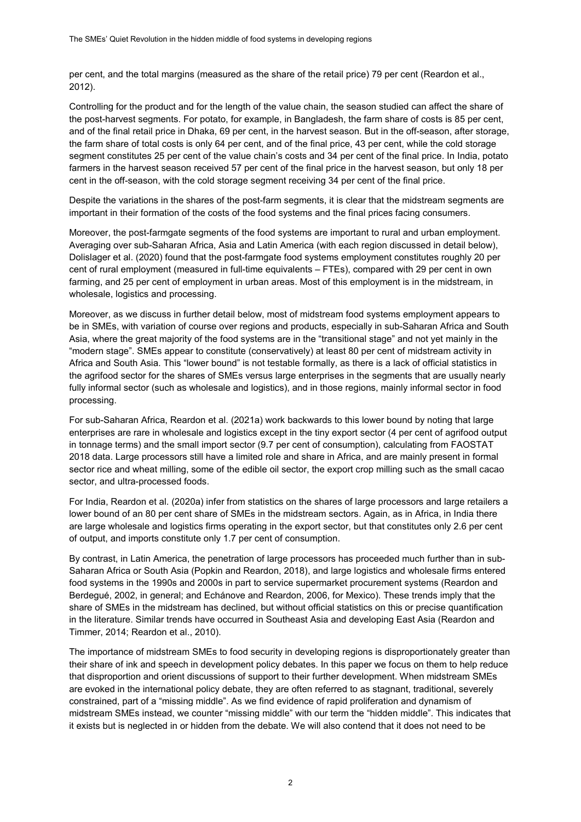per cent, and the total margins (measured as the share of the retail price) 79 per cent (Reardon et al., 2012).

Controlling for the product and for the length of the value chain, the season studied can affect the share of the post-harvest segments. For potato, for example, in Bangladesh, the farm share of costs is 85 per cent, and of the final retail price in Dhaka, 69 per cent, in the harvest season. But in the off-season, after storage, the farm share of total costs is only 64 per cent, and of the final price, 43 per cent, while the cold storage segment constitutes 25 per cent of the value chain's costs and 34 per cent of the final price. In India, potato farmers in the harvest season received 57 per cent of the final price in the harvest season, but only 18 per cent in the off-season, with the cold storage segment receiving 34 per cent of the final price.

Despite the variations in the shares of the post-farm segments, it is clear that the midstream segments are important in their formation of the costs of the food systems and the final prices facing consumers.

Moreover, the post-farmgate segments of the food systems are important to rural and urban employment. Averaging over sub-Saharan Africa, Asia and Latin America (with each region discussed in detail below), Dolislager et al. (2020) found that the post-farmgate food systems employment constitutes roughly 20 per cent of rural employment (measured in full-time equivalents – FTEs), compared with 29 per cent in own farming, and 25 per cent of employment in urban areas. Most of this employment is in the midstream, in wholesale, logistics and processing.

Moreover, as we discuss in further detail below, most of midstream food systems employment appears to be in SMEs, with variation of course over regions and products, especially in sub-Saharan Africa and South Asia, where the great majority of the food systems are in the "transitional stage" and not yet mainly in the "modern stage". SMEs appear to constitute (conservatively) at least 80 per cent of midstream activity in Africa and South Asia. This "lower bound" is not testable formally, as there is a lack of official statistics in the agrifood sector for the shares of SMEs versus large enterprises in the segments that are usually nearly fully informal sector (such as wholesale and logistics), and in those regions, mainly informal sector in food processing.

For sub-Saharan Africa, Reardon et al. (2021a) work backwards to this lower bound by noting that large enterprises are rare in wholesale and logistics except in the tiny export sector (4 per cent of agrifood output in tonnage terms) and the small import sector (9.7 per cent of consumption), calculating from FAOSTAT 2018 data. Large processors still have a limited role and share in Africa, and are mainly present in formal sector rice and wheat milling, some of the edible oil sector, the export crop milling such as the small cacao sector, and ultra-processed foods.

For India, Reardon et al. (2020a) infer from statistics on the shares of large processors and large retailers a lower bound of an 80 per cent share of SMEs in the midstream sectors. Again, as in Africa, in India there are large wholesale and logistics firms operating in the export sector, but that constitutes only 2.6 per cent of output, and imports constitute only 1.7 per cent of consumption.

By contrast, in Latin America, the penetration of large processors has proceeded much further than in sub-Saharan Africa or South Asia (Popkin and Reardon, 2018), and large logistics and wholesale firms entered food systems in the 1990s and 2000s in part to service supermarket procurement systems (Reardon and Berdegué, 2002, in general; and Echánove and Reardon, 2006, for Mexico). These trends imply that the share of SMEs in the midstream has declined, but without official statistics on this or precise quantification in the literature. Similar trends have occurred in Southeast Asia and developing East Asia (Reardon and Timmer, 2014; Reardon et al., 2010).

The importance of midstream SMEs to food security in developing regions is disproportionately greater than their share of ink and speech in development policy debates. In this paper we focus on them to help reduce that disproportion and orient discussions of support to their further development. When midstream SMEs are evoked in the international policy debate, they are often referred to as stagnant, traditional, severely constrained, part of a "missing middle". As we find evidence of rapid proliferation and dynamism of midstream SMEs instead, we counter "missing middle" with our term the "hidden middle". This indicates that it exists but is neglected in or hidden from the debate. We will also contend that it does not need to be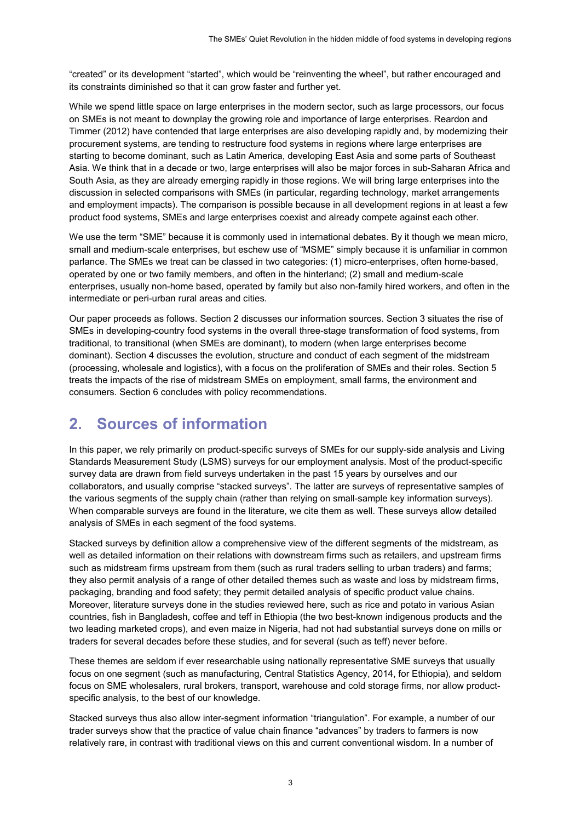"created" or its development "started", which would be "reinventing the wheel", but rather encouraged and its constraints diminished so that it can grow faster and further yet.

While we spend little space on large enterprises in the modern sector, such as large processors, our focus on SMEs is not meant to downplay the growing role and importance of large enterprises. Reardon and Timmer (2012) have contended that large enterprises are also developing rapidly and, by modernizing their procurement systems, are tending to restructure food systems in regions where large enterprises are starting to become dominant, such as Latin America, developing East Asia and some parts of Southeast Asia. We think that in a decade or two, large enterprises will also be major forces in sub-Saharan Africa and South Asia, as they are already emerging rapidly in those regions. We will bring large enterprises into the discussion in selected comparisons with SMEs (in particular, regarding technology, market arrangements and employment impacts). The comparison is possible because in all development regions in at least a few product food systems, SMEs and large enterprises coexist and already compete against each other.

We use the term "SME" because it is commonly used in international debates. By it though we mean micro, small and medium-scale enterprises, but eschew use of "MSME" simply because it is unfamiliar in common parlance. The SMEs we treat can be classed in two categories: (1) micro-enterprises, often home-based, operated by one or two family members, and often in the hinterland; (2) small and medium-scale enterprises, usually non-home based, operated by family but also non-family hired workers, and often in the intermediate or peri-urban rural areas and cities.

Our paper proceeds as follows. Section 2 discusses our information sources. Section 3 situates the rise of SMEs in developing-country food systems in the overall three-stage transformation of food systems, from traditional, to transitional (when SMEs are dominant), to modern (when large enterprises become dominant). Section 4 discusses the evolution, structure and conduct of each segment of the midstream (processing, wholesale and logistics), with a focus on the proliferation of SMEs and their roles. Section 5 treats the impacts of the rise of midstream SMEs on employment, small farms, the environment and consumers. Section 6 concludes with policy recommendations.

## **2. Sources of information**

In this paper, we rely primarily on product-specific surveys of SMEs for our supply-side analysis and Living Standards Measurement Study (LSMS) surveys for our employment analysis. Most of the product-specific survey data are drawn from field surveys undertaken in the past 15 years by ourselves and our collaborators, and usually comprise "stacked surveys". The latter are surveys of representative samples of the various segments of the supply chain (rather than relying on small-sample key information surveys). When comparable surveys are found in the literature, we cite them as well. These surveys allow detailed analysis of SMEs in each segment of the food systems.

Stacked surveys by definition allow a comprehensive view of the different segments of the midstream, as well as detailed information on their relations with downstream firms such as retailers, and upstream firms such as midstream firms upstream from them (such as rural traders selling to urban traders) and farms; they also permit analysis of a range of other detailed themes such as waste and loss by midstream firms, packaging, branding and food safety; they permit detailed analysis of specific product value chains. Moreover, literature surveys done in the studies reviewed here, such as rice and potato in various Asian countries, fish in Bangladesh, coffee and teff in Ethiopia (the two best-known indigenous products and the two leading marketed crops), and even maize in Nigeria, had not had substantial surveys done on mills or traders for several decades before these studies, and for several (such as teff) never before.

These themes are seldom if ever researchable using nationally representative SME surveys that usually focus on one segment (such as manufacturing, Central Statistics Agency, 2014, for Ethiopia), and seldom focus on SME wholesalers, rural brokers, transport, warehouse and cold storage firms, nor allow productspecific analysis, to the best of our knowledge.

Stacked surveys thus also allow inter-segment information "triangulation". For example, a number of our trader surveys show that the practice of value chain finance "advances" by traders to farmers is now relatively rare, in contrast with traditional views on this and current conventional wisdom. In a number of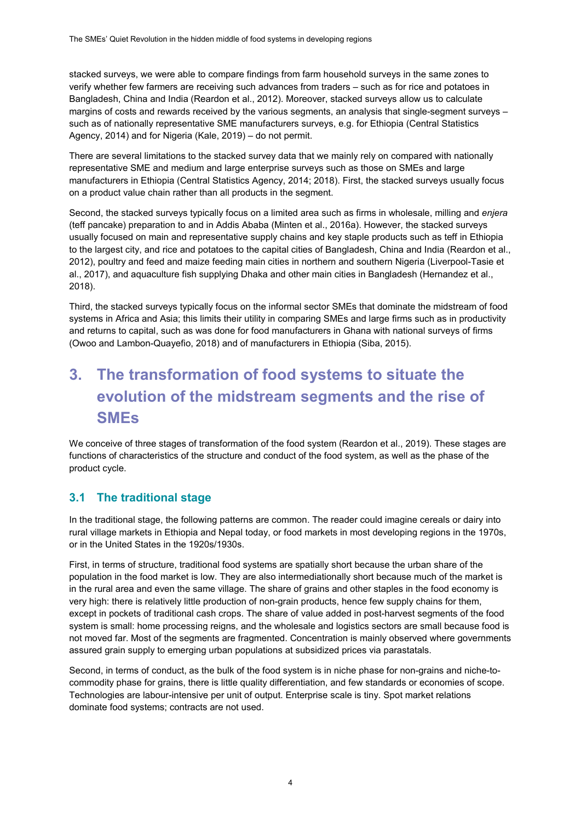stacked surveys, we were able to compare findings from farm household surveys in the same zones to verify whether few farmers are receiving such advances from traders – such as for rice and potatoes in Bangladesh, China and India (Reardon et al., 2012). Moreover, stacked surveys allow us to calculate margins of costs and rewards received by the various segments, an analysis that single-segment surveys – such as of nationally representative SME manufacturers surveys, e.g. for Ethiopia (Central Statistics Agency, 2014) and for Nigeria (Kale, 2019) – do not permit.

There are several limitations to the stacked survey data that we mainly rely on compared with nationally representative SME and medium and large enterprise surveys such as those on SMEs and large manufacturers in Ethiopia (Central Statistics Agency, 2014; 2018). First, the stacked surveys usually focus on a product value chain rather than all products in the segment.

Second, the stacked surveys typically focus on a limited area such as firms in wholesale, milling and *enjera* (teff pancake) preparation to and in Addis Ababa (Minten et al., 2016a). However, the stacked surveys usually focused on main and representative supply chains and key staple products such as teff in Ethiopia to the largest city, and rice and potatoes to the capital cities of Bangladesh, China and India (Reardon et al., 2012), poultry and feed and maize feeding main cities in northern and southern Nigeria (Liverpool-Tasie et al., 2017), and aquaculture fish supplying Dhaka and other main cities in Bangladesh (Hernandez et al., 2018).

Third, the stacked surveys typically focus on the informal sector SMEs that dominate the midstream of food systems in Africa and Asia; this limits their utility in comparing SMEs and large firms such as in productivity and returns to capital, such as was done for food manufacturers in Ghana with national surveys of firms (Owoo and Lambon-Quayefio, 2018) and of manufacturers in Ethiopia (Siba, 2015).

# **3. The transformation of food systems to situate the evolution of the midstream segments and the rise of SMEs**

We conceive of three stages of transformation of the food system (Reardon et al., 2019). These stages are functions of characteristics of the structure and conduct of the food system, as well as the phase of the product cycle.

### **3.1 The traditional stage**

In the traditional stage, the following patterns are common. The reader could imagine cereals or dairy into rural village markets in Ethiopia and Nepal today, or food markets in most developing regions in the 1970s, or in the United States in the 1920s/1930s.

First, in terms of structure, traditional food systems are spatially short because the urban share of the population in the food market is low. They are also intermediationally short because much of the market is in the rural area and even the same village. The share of grains and other staples in the food economy is very high: there is relatively little production of non-grain products, hence few supply chains for them, except in pockets of traditional cash crops. The share of value added in post-harvest segments of the food system is small: home processing reigns, and the wholesale and logistics sectors are small because food is not moved far. Most of the segments are fragmented. Concentration is mainly observed where governments assured grain supply to emerging urban populations at subsidized prices via parastatals.

Second, in terms of conduct, as the bulk of the food system is in niche phase for non-grains and niche-tocommodity phase for grains, there is little quality differentiation, and few standards or economies of scope. Technologies are labour-intensive per unit of output. Enterprise scale is tiny. Spot market relations dominate food systems; contracts are not used.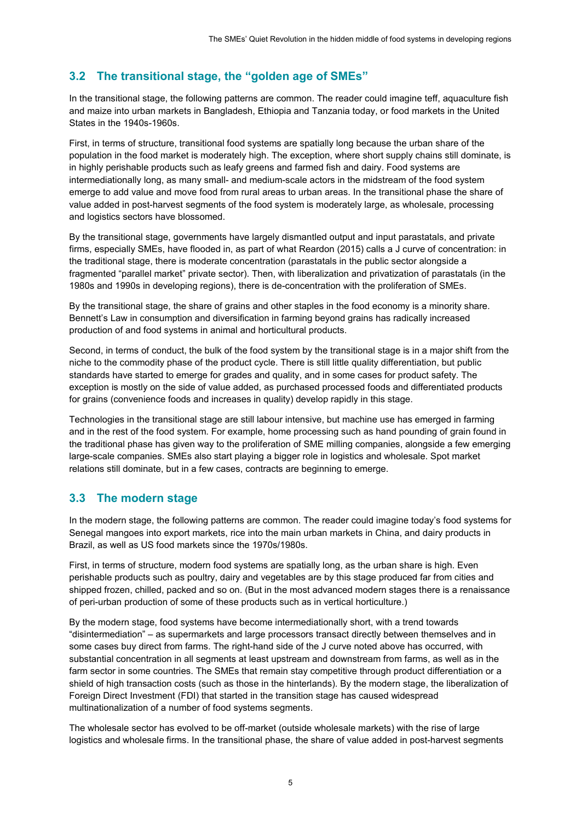### **3.2 The transitional stage, the "golden age of SMEs"**

In the transitional stage, the following patterns are common. The reader could imagine teff, aquaculture fish and maize into urban markets in Bangladesh, Ethiopia and Tanzania today, or food markets in the United States in the 1940s-1960s.

First, in terms of structure, transitional food systems are spatially long because the urban share of the population in the food market is moderately high. The exception, where short supply chains still dominate, is in highly perishable products such as leafy greens and farmed fish and dairy. Food systems are intermediationally long, as many small- and medium-scale actors in the midstream of the food system emerge to add value and move food from rural areas to urban areas. In the transitional phase the share of value added in post-harvest segments of the food system is moderately large, as wholesale, processing and logistics sectors have blossomed.

By the transitional stage, governments have largely dismantled output and input parastatals, and private firms, especially SMEs, have flooded in, as part of what Reardon (2015) calls a J curve of concentration: in the traditional stage, there is moderate concentration (parastatals in the public sector alongside a fragmented "parallel market" private sector). Then, with liberalization and privatization of parastatals (in the 1980s and 1990s in developing regions), there is de-concentration with the proliferation of SMEs.

By the transitional stage, the share of grains and other staples in the food economy is a minority share. Bennett's Law in consumption and diversification in farming beyond grains has radically increased production of and food systems in animal and horticultural products.

Second, in terms of conduct, the bulk of the food system by the transitional stage is in a major shift from the niche to the commodity phase of the product cycle. There is still little quality differentiation, but public standards have started to emerge for grades and quality, and in some cases for product safety. The exception is mostly on the side of value added, as purchased processed foods and differentiated products for grains (convenience foods and increases in quality) develop rapidly in this stage.

Technologies in the transitional stage are still labour intensive, but machine use has emerged in farming and in the rest of the food system. For example, home processing such as hand pounding of grain found in the traditional phase has given way to the proliferation of SME milling companies, alongside a few emerging large-scale companies. SMEs also start playing a bigger role in logistics and wholesale. Spot market relations still dominate, but in a few cases, contracts are beginning to emerge.

### **3.3 The modern stage**

In the modern stage, the following patterns are common. The reader could imagine today's food systems for Senegal mangoes into export markets, rice into the main urban markets in China, and dairy products in Brazil, as well as US food markets since the 1970s/1980s.

First, in terms of structure, modern food systems are spatially long, as the urban share is high. Even perishable products such as poultry, dairy and vegetables are by this stage produced far from cities and shipped frozen, chilled, packed and so on. (But in the most advanced modern stages there is a renaissance of peri-urban production of some of these products such as in vertical horticulture.)

By the modern stage, food systems have become intermediationally short, with a trend towards "disintermediation" – as supermarkets and large processors transact directly between themselves and in some cases buy direct from farms. The right-hand side of the J curve noted above has occurred, with substantial concentration in all segments at least upstream and downstream from farms, as well as in the farm sector in some countries. The SMEs that remain stay competitive through product differentiation or a shield of high transaction costs (such as those in the hinterlands). By the modern stage, the liberalization of Foreign Direct Investment (FDI) that started in the transition stage has caused widespread multinationalization of a number of food systems segments.

The wholesale sector has evolved to be off-market (outside wholesale markets) with the rise of large logistics and wholesale firms. In the transitional phase, the share of value added in post-harvest segments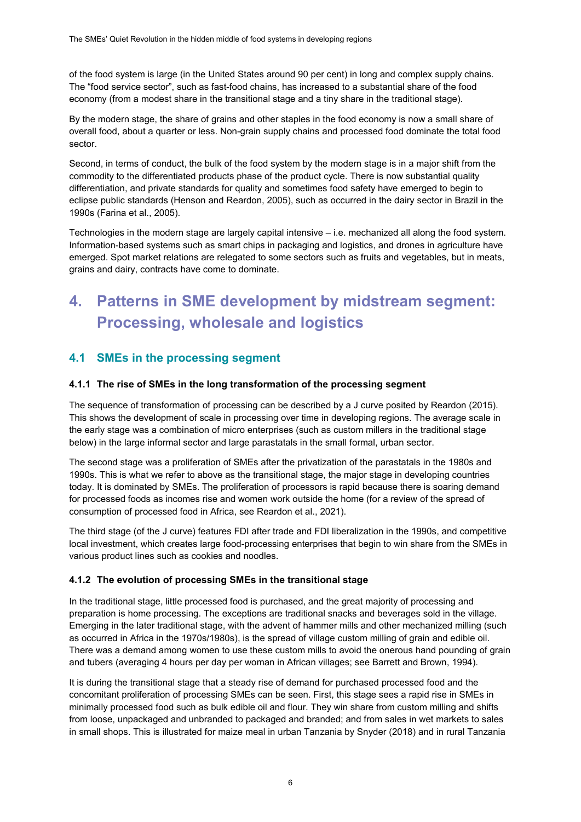of the food system is large (in the United States around 90 per cent) in long and complex supply chains. The "food service sector", such as fast-food chains, has increased to a substantial share of the food economy (from a modest share in the transitional stage and a tiny share in the traditional stage).

By the modern stage, the share of grains and other staples in the food economy is now a small share of overall food, about a quarter or less. Non-grain supply chains and processed food dominate the total food sector.

Second, in terms of conduct, the bulk of the food system by the modern stage is in a major shift from the commodity to the differentiated products phase of the product cycle. There is now substantial quality differentiation, and private standards for quality and sometimes food safety have emerged to begin to eclipse public standards (Henson and Reardon, 2005), such as occurred in the dairy sector in Brazil in the 1990s (Farina et al., 2005).

Technologies in the modern stage are largely capital intensive – i.e. mechanized all along the food system. Information-based systems such as smart chips in packaging and logistics, and drones in agriculture have emerged. Spot market relations are relegated to some sectors such as fruits and vegetables, but in meats, grains and dairy, contracts have come to dominate.

# **4. Patterns in SME development by midstream segment: Processing, wholesale and logistics**

### **4.1 SMEs in the processing segment**

#### **4.1.1 The rise of SMEs in the long transformation of the processing segment**

The sequence of transformation of processing can be described by a J curve posited by Reardon (2015). This shows the development of scale in processing over time in developing regions. The average scale in the early stage was a combination of micro enterprises (such as custom millers in the traditional stage below) in the large informal sector and large parastatals in the small formal, urban sector.

The second stage was a proliferation of SMEs after the privatization of the parastatals in the 1980s and 1990s. This is what we refer to above as the transitional stage, the major stage in developing countries today. It is dominated by SMEs. The proliferation of processors is rapid because there is soaring demand for processed foods as incomes rise and women work outside the home (for a review of the spread of consumption of processed food in Africa, see Reardon et al., 2021).

The third stage (of the J curve) features FDI after trade and FDI liberalization in the 1990s, and competitive local investment, which creates large food-processing enterprises that begin to win share from the SMEs in various product lines such as cookies and noodles.

#### **4.1.2 The evolution of processing SMEs in the transitional stage**

In the traditional stage, little processed food is purchased, and the great majority of processing and preparation is home processing. The exceptions are traditional snacks and beverages sold in the village. Emerging in the later traditional stage, with the advent of hammer mills and other mechanized milling (such as occurred in Africa in the 1970s/1980s), is the spread of village custom milling of grain and edible oil. There was a demand among women to use these custom mills to avoid the onerous hand pounding of grain and tubers (averaging 4 hours per day per woman in African villages; see Barrett and Brown, 1994).

It is during the transitional stage that a steady rise of demand for purchased processed food and the concomitant proliferation of processing SMEs can be seen. First, this stage sees a rapid rise in SMEs in minimally processed food such as bulk edible oil and flour. They win share from custom milling and shifts from loose, unpackaged and unbranded to packaged and branded; and from sales in wet markets to sales in small shops. This is illustrated for maize meal in urban Tanzania by Snyder (2018) and in rural Tanzania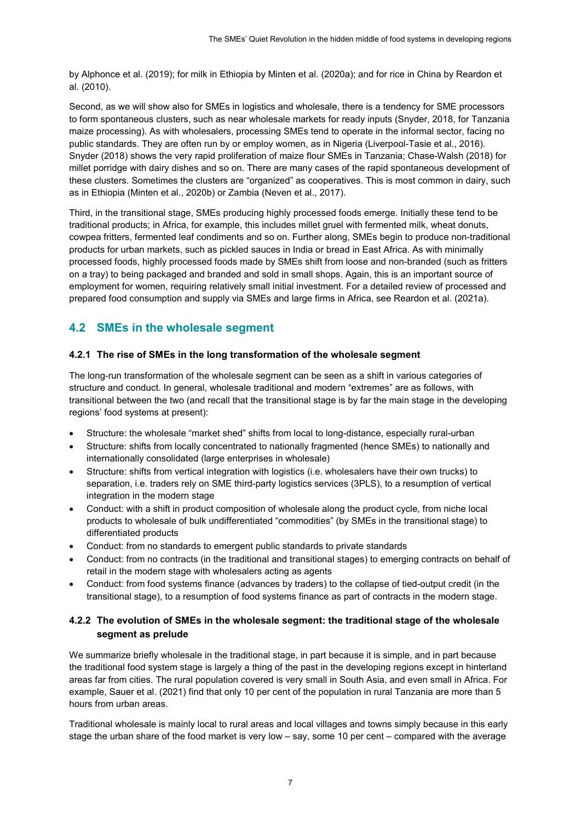by Alphonce et al. (2019); for milk in Ethiopia by Minten et al. (2020a); and for rice in China by Reardon et al. (2010).

Second, as we will show also for SMEs in logistics and wholesale, there is a tendency for SME processors to form spontaneous clusters, such as near wholesale markets for ready inputs (Snyder, 2018, for Tanzania maize processing). As with wholesalers, processing SMEs tend to operate in the informal sector, facing no public standards. They are often run by or employ women, as in Nigeria (Liverpool-Tasie et al., 2016). Snyder (2018) shows the very rapid proliferation of maize flour SMEs in Tanzania; Chase-Walsh (2018) for millet porridge with dairy dishes and so on. There are many cases of the rapid spontaneous development of these clusters. Sometimes the clusters are "organized" as cooperatives. This is most common in dairy, such as in Ethiopia (Minten et al., 2020b) or Zambia (Neven et al., 2017).

Third, in the transitional stage, SMEs producing highly processed foods emerge. Initially these tend to be traditional products; in Africa, for example, this includes millet gruel with fermented milk, wheat donuts, cowpea fritters, fermented leaf condiments and so on. Further along, SMEs begin to produce non-traditional products for urban markets, such as pickled sauces in India or bread in East Africa. As with minimally processed foods, highly processed foods made by SMEs shift from loose and non-branded (such as fritters on a tray) to being packaged and branded and sold in small shops. Again, this is an important source of employment for women, requiring relatively small initial investment. For a detailed review of processed and prepared food consumption and supply via SMEs and large firms in Africa, see Reardon et al. (2021a).

### **4.2 SMEs in the wholesale segment**

#### **4.2.1 The rise of SMEs in the long transformation of the wholesale segment**

The long-run transformation of the wholesale segment can be seen as a shift in various categories of structure and conduct. In general, wholesale traditional and modern "extremes" are as follows, with transitional between the two (and recall that the transitional stage is by far the main stage in the developing regions' food systems at present):

- Structure: the wholesale "market shed" shifts from local to long-distance, especially rural-urban
- Structure: shifts from locally concentrated to nationally fragmented (hence SMEs) to nationally and internationally consolidated (large enterprises in wholesale)
- Structure: shifts from vertical integration with logistics (i.e. wholesalers have their own trucks) to separation, i.e. traders rely on SME third-party logistics services (3PLS), to a resumption of vertical integration in the modern stage
- Conduct: with a shift in product composition of wholesale along the product cycle, from niche local products to wholesale of bulk undifferentiated "commodities" (by SMEs in the transitional stage) to differentiated products
- Conduct: from no standards to emergent public standards to private standards
- Conduct: from no contracts (in the traditional and transitional stages) to emerging contracts on behalf of retail in the modern stage with wholesalers acting as agents
- Conduct: from food systems finance (advances by traders) to the collapse of tied-output credit (in the transitional stage), to a resumption of food systems finance as part of contracts in the modern stage.

#### **4.2.2 The evolution of SMEs in the wholesale segment: the traditional stage of the wholesale segment as prelude**

We summarize briefly wholesale in the traditional stage, in part because it is simple, and in part because the traditional food system stage is largely a thing of the past in the developing regions except in hinterland areas far from cities. The rural population covered is very small in South Asia, and even small in Africa. For example, Sauer et al. (2021) find that only 10 per cent of the population in rural Tanzania are more than 5 hours from urban areas.

Traditional wholesale is mainly local to rural areas and local villages and towns simply because in this early stage the urban share of the food market is very low – say, some 10 per cent – compared with the average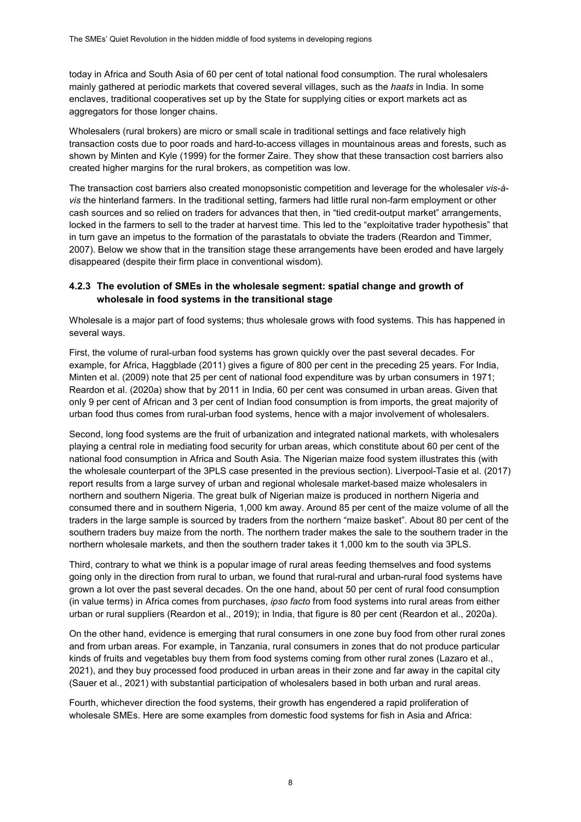today in Africa and South Asia of 60 per cent of total national food consumption. The rural wholesalers mainly gathered at periodic markets that covered several villages, such as the *haats* in India. In some enclaves, traditional cooperatives set up by the State for supplying cities or export markets act as aggregators for those longer chains.

Wholesalers (rural brokers) are micro or small scale in traditional settings and face relatively high transaction costs due to poor roads and hard-to-access villages in mountainous areas and forests, such as shown by Minten and Kyle (1999) for the former Zaire. They show that these transaction cost barriers also created higher margins for the rural brokers, as competition was low.

The transaction cost barriers also created monopsonistic competition and leverage for the wholesaler *vis-àvis* the hinterland farmers. In the traditional setting, farmers had little rural non-farm employment or other cash sources and so relied on traders for advances that then, in "tied credit-output market" arrangements, locked in the farmers to sell to the trader at harvest time. This led to the "exploitative trader hypothesis" that in turn gave an impetus to the formation of the parastatals to obviate the traders (Reardon and Timmer, 2007). Below we show that in the transition stage these arrangements have been eroded and have largely disappeared (despite their firm place in conventional wisdom).

#### **4.2.3 The evolution of SMEs in the wholesale segment: spatial change and growth of wholesale in food systems in the transitional stage**

Wholesale is a major part of food systems; thus wholesale grows with food systems. This has happened in several ways.

First, the volume of rural-urban food systems has grown quickly over the past several decades. For example, for Africa, Haggblade (2011) gives a figure of 800 per cent in the preceding 25 years. For India, Minten et al. (2009) note that 25 per cent of national food expenditure was by urban consumers in 1971; Reardon et al. (2020a) show that by 2011 in India, 60 per cent was consumed in urban areas. Given that only 9 per cent of African and 3 per cent of Indian food consumption is from imports, the great majority of urban food thus comes from rural-urban food systems, hence with a major involvement of wholesalers.

Second, long food systems are the fruit of urbanization and integrated national markets, with wholesalers playing a central role in mediating food security for urban areas, which constitute about 60 per cent of the national food consumption in Africa and South Asia. The Nigerian maize food system illustrates this (with the wholesale counterpart of the 3PLS case presented in the previous section). Liverpool-Tasie et al. (2017) report results from a large survey of urban and regional wholesale market-based maize wholesalers in northern and southern Nigeria. The great bulk of Nigerian maize is produced in northern Nigeria and consumed there and in southern Nigeria, 1,000 km away. Around 85 per cent of the maize volume of all the traders in the large sample is sourced by traders from the northern "maize basket". About 80 per cent of the southern traders buy maize from the north. The northern trader makes the sale to the southern trader in the northern wholesale markets, and then the southern trader takes it 1,000 km to the south via 3PLS.

Third, contrary to what we think is a popular image of rural areas feeding themselves and food systems going only in the direction from rural to urban, we found that rural-rural and urban-rural food systems have grown a lot over the past several decades. On the one hand, about 50 per cent of rural food consumption (in value terms) in Africa comes from purchases, *ipso facto* from food systems into rural areas from either urban or rural suppliers (Reardon et al., 2019); in India, that figure is 80 per cent (Reardon et al., 2020a).

On the other hand, evidence is emerging that rural consumers in one zone buy food from other rural zones and from urban areas. For example, in Tanzania, rural consumers in zones that do not produce particular kinds of fruits and vegetables buy them from food systems coming from other rural zones (Lazaro et al., 2021), and they buy processed food produced in urban areas in their zone and far away in the capital city (Sauer et al., 2021) with substantial participation of wholesalers based in both urban and rural areas.

Fourth, whichever direction the food systems, their growth has engendered a rapid proliferation of wholesale SMEs. Here are some examples from domestic food systems for fish in Asia and Africa: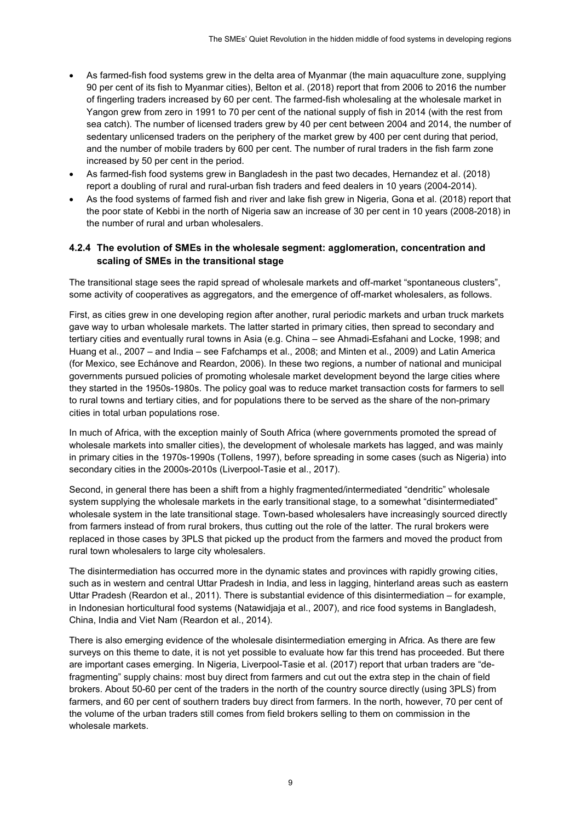- As farmed-fish food systems grew in the delta area of Myanmar (the main aquaculture zone, supplying 90 per cent of its fish to Myanmar cities), Belton et al. (2018) report that from 2006 to 2016 the number of fingerling traders increased by 60 per cent. The farmed-fish wholesaling at the wholesale market in Yangon grew from zero in 1991 to 70 per cent of the national supply of fish in 2014 (with the rest from sea catch). The number of licensed traders grew by 40 per cent between 2004 and 2014, the number of sedentary unlicensed traders on the periphery of the market grew by 400 per cent during that period, and the number of mobile traders by 600 per cent. The number of rural traders in the fish farm zone increased by 50 per cent in the period.
- As farmed-fish food systems grew in Bangladesh in the past two decades, Hernandez et al. (2018) report a doubling of rural and rural-urban fish traders and feed dealers in 10 years (2004-2014).
- As the food systems of farmed fish and river and lake fish grew in Nigeria, Gona et al. (2018) report that the poor state of Kebbi in the north of Nigeria saw an increase of 30 per cent in 10 years (2008-2018) in the number of rural and urban wholesalers.

#### **4.2.4 The evolution of SMEs in the wholesale segment: agglomeration, concentration and scaling of SMEs in the transitional stage**

The transitional stage sees the rapid spread of wholesale markets and off-market "spontaneous clusters", some activity of cooperatives as aggregators, and the emergence of off-market wholesalers, as follows.

First, as cities grew in one developing region after another, rural periodic markets and urban truck markets gave way to urban wholesale markets. The latter started in primary cities, then spread to secondary and tertiary cities and eventually rural towns in Asia (e.g. China – see Ahmadi-Esfahani and Locke, 1998; and Huang et al., 2007 – and India – see Fafchamps et al., 2008; and Minten et al., 2009) and Latin America (for Mexico, see Echánove and Reardon, 2006). In these two regions, a number of national and municipal governments pursued policies of promoting wholesale market development beyond the large cities where they started in the 1950s-1980s. The policy goal was to reduce market transaction costs for farmers to sell to rural towns and tertiary cities, and for populations there to be served as the share of the non-primary cities in total urban populations rose.

In much of Africa, with the exception mainly of South Africa (where governments promoted the spread of wholesale markets into smaller cities), the development of wholesale markets has lagged, and was mainly in primary cities in the 1970s-1990s (Tollens, 1997), before spreading in some cases (such as Nigeria) into secondary cities in the 2000s-2010s (Liverpool-Tasie et al., 2017).

Second, in general there has been a shift from a highly fragmented/intermediated "dendritic" wholesale system supplying the wholesale markets in the early transitional stage, to a somewhat "disintermediated" wholesale system in the late transitional stage. Town-based wholesalers have increasingly sourced directly from farmers instead of from rural brokers, thus cutting out the role of the latter. The rural brokers were replaced in those cases by 3PLS that picked up the product from the farmers and moved the product from rural town wholesalers to large city wholesalers.

The disintermediation has occurred more in the dynamic states and provinces with rapidly growing cities, such as in western and central Uttar Pradesh in India, and less in lagging, hinterland areas such as eastern Uttar Pradesh (Reardon et al., 2011). There is substantial evidence of this disintermediation – for example, in Indonesian horticultural food systems (Natawidjaja et al., 2007), and rice food systems in Bangladesh, China, India and Viet Nam (Reardon et al., 2014).

There is also emerging evidence of the wholesale disintermediation emerging in Africa. As there are few surveys on this theme to date, it is not yet possible to evaluate how far this trend has proceeded. But there are important cases emerging. In Nigeria, Liverpool-Tasie et al. (2017) report that urban traders are "defragmenting" supply chains: most buy direct from farmers and cut out the extra step in the chain of field brokers. About 50-60 per cent of the traders in the north of the country source directly (using 3PLS) from farmers, and 60 per cent of southern traders buy direct from farmers. In the north, however, 70 per cent of the volume of the urban traders still comes from field brokers selling to them on commission in the wholesale markets.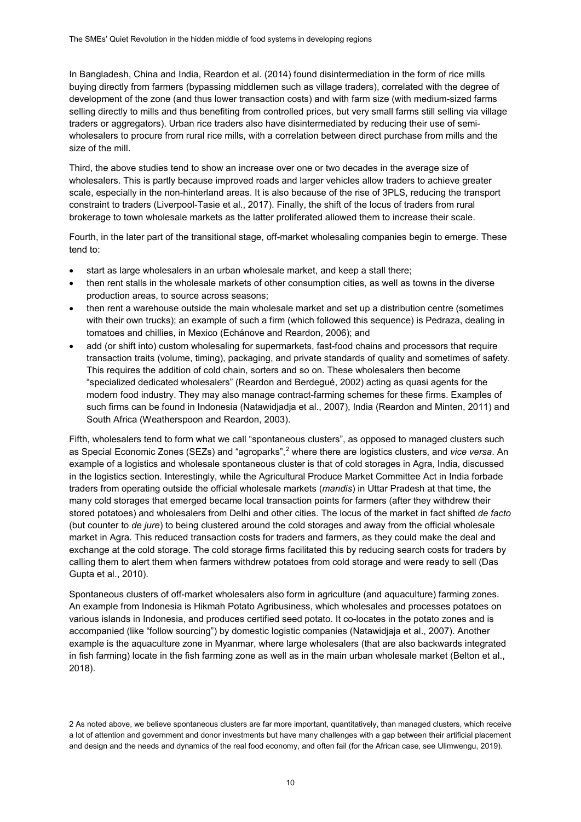In Bangladesh, China and India, Reardon et al. (2014) found disintermediation in the form of rice mills buying directly from farmers (bypassing middlemen such as village traders), correlated with the degree of development of the zone (and thus lower transaction costs) and with farm size (with medium-sized farms selling directly to mills and thus benefiting from controlled prices, but very small farms still selling via village traders or aggregators). Urban rice traders also have disintermediated by reducing their use of semiwholesalers to procure from rural rice mills, with a correlation between direct purchase from mills and the size of the mill.

Third, the above studies tend to show an increase over one or two decades in the average size of wholesalers. This is partly because improved roads and larger vehicles allow traders to achieve greater scale, especially in the non-hinterland areas. It is also because of the rise of 3PLS, reducing the transport constraint to traders (Liverpool-Tasie et al., 2017). Finally, the shift of the locus of traders from rural brokerage to town wholesale markets as the latter proliferated allowed them to increase their scale.

Fourth, in the later part of the transitional stage, off-market wholesaling companies begin to emerge. These tend to:

- start as large wholesalers in an urban wholesale market, and keep a stall there;
- then rent stalls in the wholesale markets of other consumption cities, as well as towns in the diverse production areas, to source across seasons;
- then rent a warehouse outside the main wholesale market and set up a distribution centre (sometimes with their own trucks); an example of such a firm (which followed this sequence) is Pedraza, dealing in tomatoes and chillies, in Mexico (Echánove and Reardon, 2006); and
- add (or shift into) custom wholesaling for supermarkets, fast-food chains and processors that require transaction traits (volume, timing), packaging, and private standards of quality and sometimes of safety. This requires the addition of cold chain, sorters and so on. These wholesalers then become "specialized dedicated wholesalers" (Reardon and Berdegué, 2002) acting as quasi agents for the modern food industry. They may also manage contract-farming schemes for these firms. Examples of such firms can be found in Indonesia (Natawidjadja et al., 2007), India (Reardon and Minten, 2011) and South Africa (Weatherspoon and Reardon, 2003).

Fifth, wholesalers tend to form what we call "spontaneous clusters", as opposed to managed clusters such as Special Economic Zones (SEZs) and "agroparks", [2](#page-15-0) where there are logistics clusters, and *vice versa*. An example of a logistics and wholesale spontaneous cluster is that of cold storages in Agra, India, discussed in the logistics section. Interestingly, while the Agricultural Produce Market Committee Act in India forbade traders from operating outside the official wholesale markets (*mandis*) in Uttar Pradesh at that time, the many cold storages that emerged became local transaction points for farmers (after they withdrew their stored potatoes) and wholesalers from Delhi and other cities. The locus of the market in fact shifted *de facto* (but counter to *de jure*) to being clustered around the cold storages and away from the official wholesale market in Agra. This reduced transaction costs for traders and farmers, as they could make the deal and exchange at the cold storage. The cold storage firms facilitated this by reducing search costs for traders by calling them to alert them when farmers withdrew potatoes from cold storage and were ready to sell (Das Gupta et al., 2010).

Spontaneous clusters of off-market wholesalers also form in agriculture (and aquaculture) farming zones. An example from Indonesia is Hikmah Potato Agribusiness, which wholesales and processes potatoes on various islands in Indonesia, and produces certified seed potato. It co-locates in the potato zones and is accompanied (like "follow sourcing") by domestic logistic companies (Natawidjaja et al., 2007). Another example is the aquaculture zone in Myanmar, where large wholesalers (that are also backwards integrated in fish farming) locate in the fish farming zone as well as in the main urban wholesale market (Belton et al., 2018).

<span id="page-15-0"></span><sup>2</sup> As noted above, we believe spontaneous clusters are far more important, quantitatively, than managed clusters, which receive a lot of attention and government and donor investments but have many challenges with a gap between their artificial placement and design and the needs and dynamics of the real food economy, and often fail (for the African case, see Ulimwengu, 2019).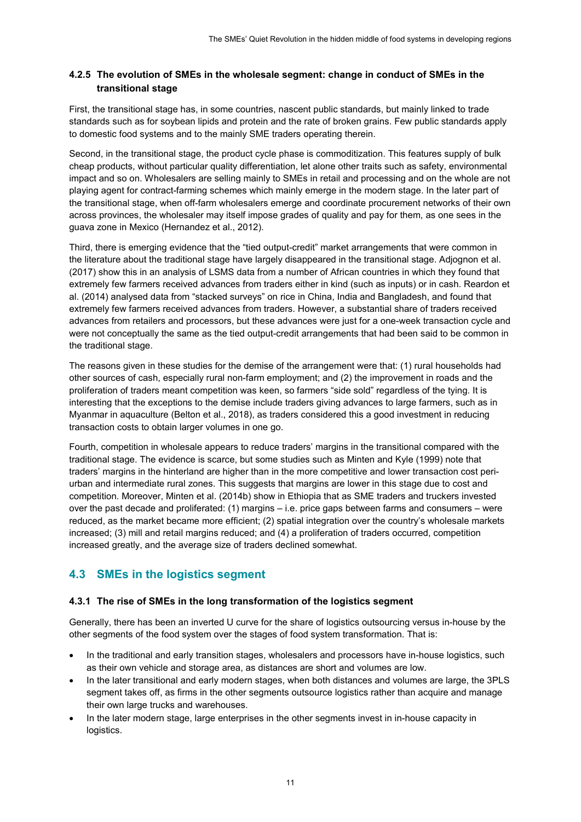#### **4.2.5 The evolution of SMEs in the wholesale segment: change in conduct of SMEs in the transitional stage**

First, the transitional stage has, in some countries, nascent public standards, but mainly linked to trade standards such as for soybean lipids and protein and the rate of broken grains. Few public standards apply to domestic food systems and to the mainly SME traders operating therein.

Second, in the transitional stage, the product cycle phase is commoditization. This features supply of bulk cheap products, without particular quality differentiation, let alone other traits such as safety, environmental impact and so on. Wholesalers are selling mainly to SMEs in retail and processing and on the whole are not playing agent for contract-farming schemes which mainly emerge in the modern stage. In the later part of the transitional stage, when off-farm wholesalers emerge and coordinate procurement networks of their own across provinces, the wholesaler may itself impose grades of quality and pay for them, as one sees in the guava zone in Mexico (Hernandez et al., 2012).

Third, there is emerging evidence that the "tied output-credit" market arrangements that were common in the literature about the traditional stage have largely disappeared in the transitional stage. Adjognon et al. (2017) show this in an analysis of LSMS data from a number of African countries in which they found that extremely few farmers received advances from traders either in kind (such as inputs) or in cash. Reardon et al. (2014) analysed data from "stacked surveys" on rice in China, India and Bangladesh, and found that extremely few farmers received advances from traders. However, a substantial share of traders received advances from retailers and processors, but these advances were just for a one-week transaction cycle and were not conceptually the same as the tied output-credit arrangements that had been said to be common in the traditional stage.

The reasons given in these studies for the demise of the arrangement were that: (1) rural households had other sources of cash, especially rural non-farm employment; and (2) the improvement in roads and the proliferation of traders meant competition was keen, so farmers "side sold" regardless of the tying. It is interesting that the exceptions to the demise include traders giving advances to large farmers, such as in Myanmar in aquaculture (Belton et al., 2018), as traders considered this a good investment in reducing transaction costs to obtain larger volumes in one go.

Fourth, competition in wholesale appears to reduce traders' margins in the transitional compared with the traditional stage. The evidence is scarce, but some studies such as Minten and Kyle (1999) note that traders' margins in the hinterland are higher than in the more competitive and lower transaction cost periurban and intermediate rural zones. This suggests that margins are lower in this stage due to cost and competition. Moreover, Minten et al. (2014b) show in Ethiopia that as SME traders and truckers invested over the past decade and proliferated: (1) margins – i.e. price gaps between farms and consumers – were reduced, as the market became more efficient; (2) spatial integration over the country's wholesale markets increased; (3) mill and retail margins reduced; and (4) a proliferation of traders occurred, competition increased greatly, and the average size of traders declined somewhat.

### **4.3 SMEs in the logistics segment**

#### **4.3.1 The rise of SMEs in the long transformation of the logistics segment**

Generally, there has been an inverted U curve for the share of logistics outsourcing versus in-house by the other segments of the food system over the stages of food system transformation. That is:

- In the traditional and early transition stages, wholesalers and processors have in-house logistics, such as their own vehicle and storage area, as distances are short and volumes are low.
- In the later transitional and early modern stages, when both distances and volumes are large, the 3PLS segment takes off, as firms in the other segments outsource logistics rather than acquire and manage their own large trucks and warehouses.
- In the later modern stage, large enterprises in the other segments invest in in-house capacity in logistics.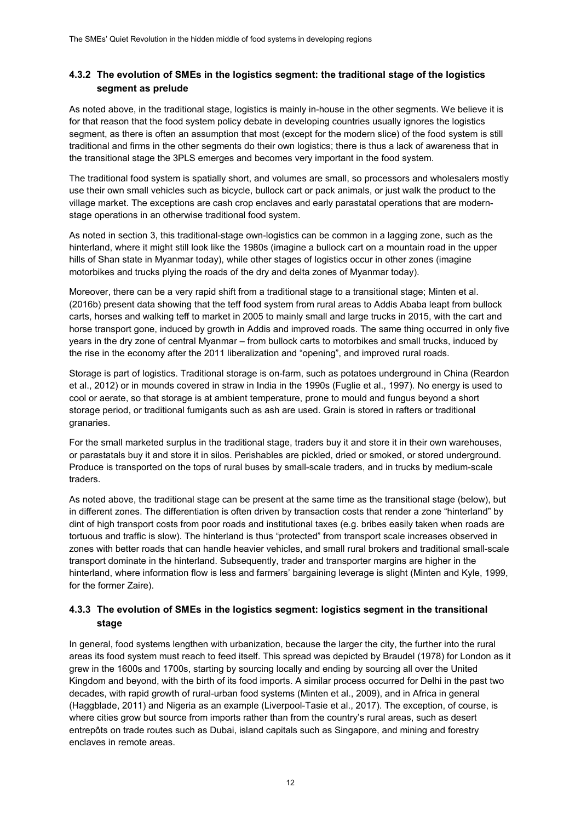#### **4.3.2 The evolution of SMEs in the logistics segment: the traditional stage of the logistics segment as prelude**

As noted above, in the traditional stage, logistics is mainly in-house in the other segments. We believe it is for that reason that the food system policy debate in developing countries usually ignores the logistics segment, as there is often an assumption that most (except for the modern slice) of the food system is still traditional and firms in the other segments do their own logistics; there is thus a lack of awareness that in the transitional stage the 3PLS emerges and becomes very important in the food system.

The traditional food system is spatially short, and volumes are small, so processors and wholesalers mostly use their own small vehicles such as bicycle, bullock cart or pack animals, or just walk the product to the village market. The exceptions are cash crop enclaves and early parastatal operations that are modernstage operations in an otherwise traditional food system.

As noted in section 3, this traditional-stage own-logistics can be common in a lagging zone, such as the hinterland, where it might still look like the 1980s (imagine a bullock cart on a mountain road in the upper hills of Shan state in Myanmar today), while other stages of logistics occur in other zones (imagine motorbikes and trucks plying the roads of the dry and delta zones of Myanmar today).

Moreover, there can be a very rapid shift from a traditional stage to a transitional stage; Minten et al. (2016b) present data showing that the teff food system from rural areas to Addis Ababa leapt from bullock carts, horses and walking teff to market in 2005 to mainly small and large trucks in 2015, with the cart and horse transport gone, induced by growth in Addis and improved roads. The same thing occurred in only five years in the dry zone of central Myanmar – from bullock carts to motorbikes and small trucks, induced by the rise in the economy after the 2011 liberalization and "opening", and improved rural roads.

Storage is part of logistics. Traditional storage is on-farm, such as potatoes underground in China (Reardon et al., 2012) or in mounds covered in straw in India in the 1990s (Fuglie et al., 1997). No energy is used to cool or aerate, so that storage is at ambient temperature, prone to mould and fungus beyond a short storage period, or traditional fumigants such as ash are used. Grain is stored in rafters or traditional granaries.

For the small marketed surplus in the traditional stage, traders buy it and store it in their own warehouses, or parastatals buy it and store it in silos. Perishables are pickled, dried or smoked, or stored underground. Produce is transported on the tops of rural buses by small-scale traders, and in trucks by medium-scale traders.

As noted above, the traditional stage can be present at the same time as the transitional stage (below), but in different zones. The differentiation is often driven by transaction costs that render a zone "hinterland" by dint of high transport costs from poor roads and institutional taxes (e.g. bribes easily taken when roads are tortuous and traffic is slow). The hinterland is thus "protected" from transport scale increases observed in zones with better roads that can handle heavier vehicles, and small rural brokers and traditional small-scale transport dominate in the hinterland. Subsequently, trader and transporter margins are higher in the hinterland, where information flow is less and farmers' bargaining leverage is slight (Minten and Kyle, 1999, for the former Zaire).

#### **4.3.3 The evolution of SMEs in the logistics segment: logistics segment in the transitional stage**

In general, food systems lengthen with urbanization, because the larger the city, the further into the rural areas its food system must reach to feed itself. This spread was depicted by Braudel (1978) for London as it grew in the 1600s and 1700s, starting by sourcing locally and ending by sourcing all over the United Kingdom and beyond, with the birth of its food imports. A similar process occurred for Delhi in the past two decades, with rapid growth of rural-urban food systems (Minten et al., 2009), and in Africa in general (Haggblade, 2011) and Nigeria as an example (Liverpool-Tasie et al., 2017). The exception, of course, is where cities grow but source from imports rather than from the country's rural areas, such as desert entrepôts on trade routes such as Dubai, island capitals such as Singapore, and mining and forestry enclaves in remote areas.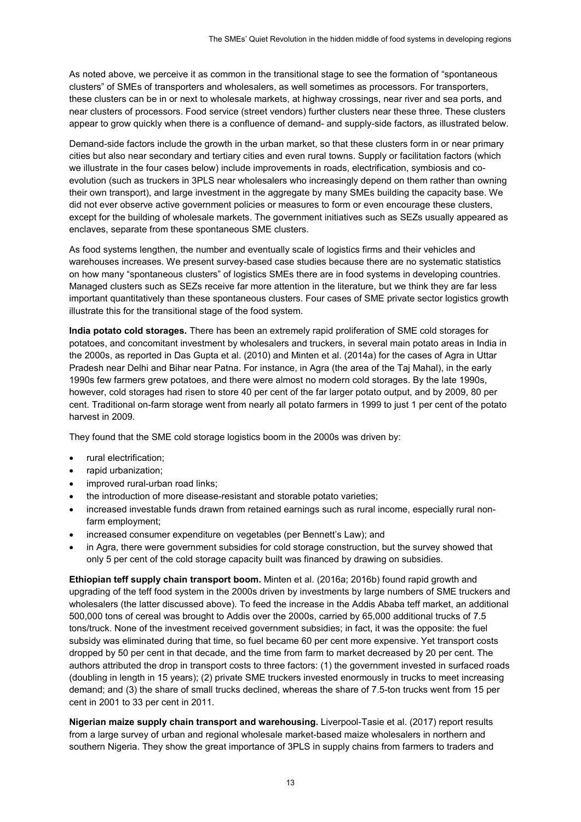As noted above, we perceive it as common in the transitional stage to see the formation of "spontaneous clusters" of SMEs of transporters and wholesalers, as well sometimes as processors. For transporters, these clusters can be in or next to wholesale markets, at highway crossings, near river and sea ports, and near clusters of processors. Food service (street vendors) further clusters near these three. These clusters appear to grow quickly when there is a confluence of demand- and supply-side factors, as illustrated below.

Demand-side factors include the growth in the urban market, so that these clusters form in or near primary cities but also near secondary and tertiary cities and even rural towns. Supply or facilitation factors (which we illustrate in the four cases below) include improvements in roads, electrification, symbiosis and coevolution (such as truckers in 3PLS near wholesalers who increasingly depend on them rather than owning their own transport), and large investment in the aggregate by many SMEs building the capacity base. We did not ever observe active government policies or measures to form or even encourage these clusters, except for the building of wholesale markets. The government initiatives such as SEZs usually appeared as enclaves, separate from these spontaneous SME clusters.

As food systems lengthen, the number and eventually scale of logistics firms and their vehicles and warehouses increases. We present survey-based case studies because there are no systematic statistics on how many "spontaneous clusters" of logistics SMEs there are in food systems in developing countries. Managed clusters such as SEZs receive far more attention in the literature, but we think they are far less important quantitatively than these spontaneous clusters. Four cases of SME private sector logistics growth illustrate this for the transitional stage of the food system.

**India potato cold storages.** There has been an extremely rapid proliferation of SME cold storages for potatoes, and concomitant investment by wholesalers and truckers, in several main potato areas in India in the 2000s, as reported in Das Gupta et al. (2010) and Minten et al. (2014a) for the cases of Agra in Uttar Pradesh near Delhi and Bihar near Patna. For instance, in Agra (the area of the Taj Mahal), in the early 1990s few farmers grew potatoes, and there were almost no modern cold storages. By the late 1990s, however, cold storages had risen to store 40 per cent of the far larger potato output, and by 2009, 80 per cent. Traditional on-farm storage went from nearly all potato farmers in 1999 to just 1 per cent of the potato harvest in 2009.

They found that the SME cold storage logistics boom in the 2000s was driven by:

- rural electrification;
- rapid urbanization;
- improved rural-urban road links;
- the introduction of more disease-resistant and storable potato varieties;
- increased investable funds drawn from retained earnings such as rural income, especially rural nonfarm employment;
- increased consumer expenditure on vegetables (per Bennett's Law); and
- in Agra, there were government subsidies for cold storage construction, but the survey showed that only 5 per cent of the cold storage capacity built was financed by drawing on subsidies.

**Ethiopian teff supply chain transport boom.** Minten et al. (2016a; 2016b) found rapid growth and upgrading of the teff food system in the 2000s driven by investments by large numbers of SME truckers and wholesalers (the latter discussed above). To feed the increase in the Addis Ababa teff market, an additional 500,000 tons of cereal was brought to Addis over the 2000s, carried by 65,000 additional trucks of 7.5 tons/truck. None of the investment received government subsidies; in fact, it was the opposite: the fuel subsidy was eliminated during that time, so fuel became 60 per cent more expensive. Yet transport costs dropped by 50 per cent in that decade, and the time from farm to market decreased by 20 per cent. The authors attributed the drop in transport costs to three factors: (1) the government invested in surfaced roads (doubling in length in 15 years); (2) private SME truckers invested enormously in trucks to meet increasing demand; and (3) the share of small trucks declined, whereas the share of 7.5-ton trucks went from 15 per cent in 2001 to 33 per cent in 2011.

**Nigerian maize supply chain transport and warehousing.** Liverpool-Tasie et al. (2017) report results from a large survey of urban and regional wholesale market-based maize wholesalers in northern and southern Nigeria. They show the great importance of 3PLS in supply chains from farmers to traders and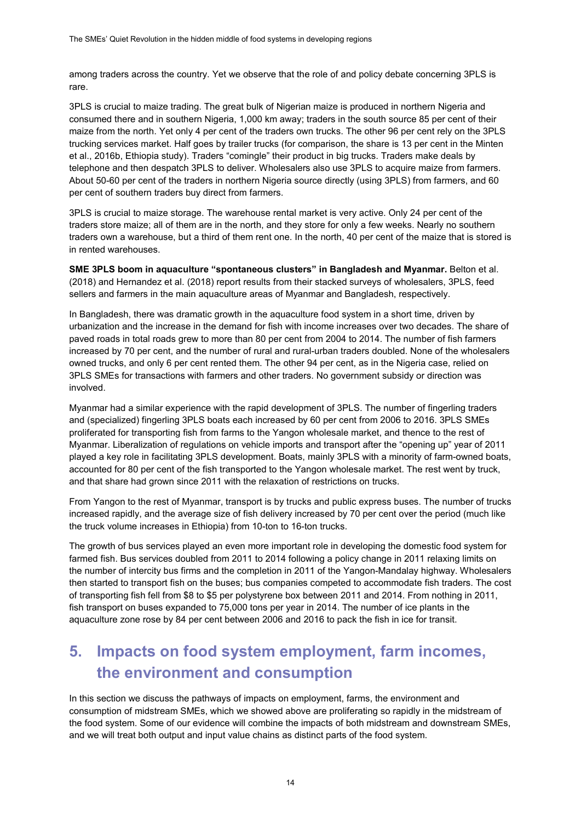among traders across the country. Yet we observe that the role of and policy debate concerning 3PLS is rare.

3PLS is crucial to maize trading. The great bulk of Nigerian maize is produced in northern Nigeria and consumed there and in southern Nigeria, 1,000 km away; traders in the south source 85 per cent of their maize from the north. Yet only 4 per cent of the traders own trucks. The other 96 per cent rely on the 3PLS trucking services market. Half goes by trailer trucks (for comparison, the share is 13 per cent in the Minten et al., 2016b, Ethiopia study). Traders "comingle" their product in big trucks. Traders make deals by telephone and then despatch 3PLS to deliver. Wholesalers also use 3PLS to acquire maize from farmers. About 50-60 per cent of the traders in northern Nigeria source directly (using 3PLS) from farmers, and 60 per cent of southern traders buy direct from farmers.

3PLS is crucial to maize storage. The warehouse rental market is very active. Only 24 per cent of the traders store maize; all of them are in the north, and they store for only a few weeks. Nearly no southern traders own a warehouse, but a third of them rent one. In the north, 40 per cent of the maize that is stored is in rented warehouses.

**SME 3PLS boom in aquaculture "spontaneous clusters" in Bangladesh and Myanmar.** Belton et al. (2018) and Hernandez et al. (2018) report results from their stacked surveys of wholesalers, 3PLS, feed sellers and farmers in the main aquaculture areas of Myanmar and Bangladesh, respectively.

In Bangladesh, there was dramatic growth in the aquaculture food system in a short time, driven by urbanization and the increase in the demand for fish with income increases over two decades. The share of paved roads in total roads grew to more than 80 per cent from 2004 to 2014. The number of fish farmers increased by 70 per cent, and the number of rural and rural-urban traders doubled. None of the wholesalers owned trucks, and only 6 per cent rented them. The other 94 per cent, as in the Nigeria case, relied on 3PLS SMEs for transactions with farmers and other traders. No government subsidy or direction was involved.

Myanmar had a similar experience with the rapid development of 3PLS. The number of fingerling traders and (specialized) fingerling 3PLS boats each increased by 60 per cent from 2006 to 2016. 3PLS SMEs proliferated for transporting fish from farms to the Yangon wholesale market, and thence to the rest of Myanmar. Liberalization of regulations on vehicle imports and transport after the "opening up" year of 2011 played a key role in facilitating 3PLS development. Boats, mainly 3PLS with a minority of farm-owned boats, accounted for 80 per cent of the fish transported to the Yangon wholesale market. The rest went by truck, and that share had grown since 2011 with the relaxation of restrictions on trucks.

From Yangon to the rest of Myanmar, transport is by trucks and public express buses. The number of trucks increased rapidly, and the average size of fish delivery increased by 70 per cent over the period (much like the truck volume increases in Ethiopia) from 10-ton to 16-ton trucks.

The growth of bus services played an even more important role in developing the domestic food system for farmed fish. Bus services doubled from 2011 to 2014 following a policy change in 2011 relaxing limits on the number of intercity bus firms and the completion in 2011 of the Yangon-Mandalay highway. Wholesalers then started to transport fish on the buses; bus companies competed to accommodate fish traders. The cost of transporting fish fell from \$8 to \$5 per polystyrene box between 2011 and 2014. From nothing in 2011, fish transport on buses expanded to 75,000 tons per year in 2014. The number of ice plants in the aquaculture zone rose by 84 per cent between 2006 and 2016 to pack the fish in ice for transit.

# **5. Impacts on food system employment, farm incomes, the environment and consumption**

In this section we discuss the pathways of impacts on employment, farms, the environment and consumption of midstream SMEs, which we showed above are proliferating so rapidly in the midstream of the food system. Some of our evidence will combine the impacts of both midstream and downstream SMEs, and we will treat both output and input value chains as distinct parts of the food system.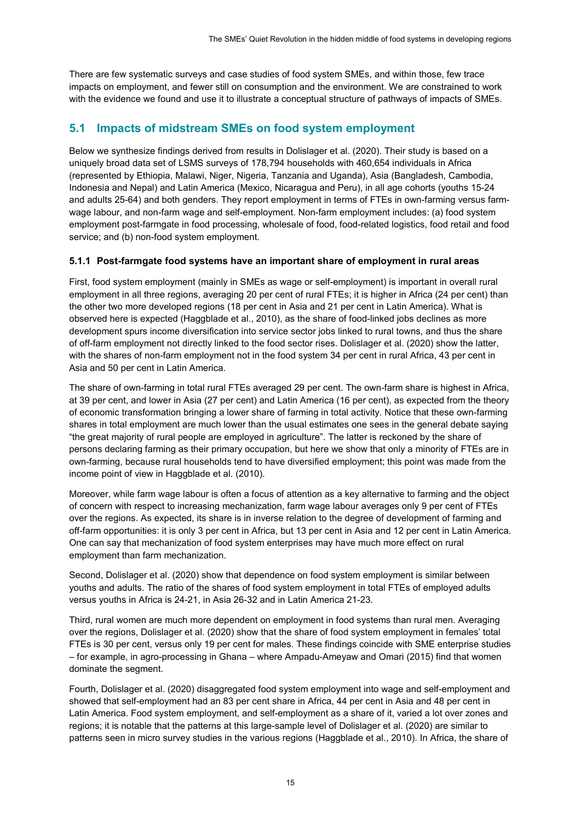There are few systematic surveys and case studies of food system SMEs, and within those, few trace impacts on employment, and fewer still on consumption and the environment. We are constrained to work with the evidence we found and use it to illustrate a conceptual structure of pathways of impacts of SMEs.

### **5.1 Impacts of midstream SMEs on food system employment**

Below we synthesize findings derived from results in Dolislager et al. (2020). Their study is based on a uniquely broad data set of LSMS surveys of 178,794 households with 460,654 individuals in Africa (represented by Ethiopia, Malawi, Niger, Nigeria, Tanzania and Uganda), Asia (Bangladesh, Cambodia, Indonesia and Nepal) and Latin America (Mexico, Nicaragua and Peru), in all age cohorts (youths 15-24 and adults 25-64) and both genders. They report employment in terms of FTEs in own-farming versus farmwage labour, and non-farm wage and self-employment. Non-farm employment includes: (a) food system employment post-farmgate in food processing, wholesale of food, food-related logistics, food retail and food service; and (b) non-food system employment.

#### **5.1.1 Post-farmgate food systems have an important share of employment in rural areas**

First, food system employment (mainly in SMEs as wage or self-employment) is important in overall rural employment in all three regions, averaging 20 per cent of rural FTEs; it is higher in Africa (24 per cent) than the other two more developed regions (18 per cent in Asia and 21 per cent in Latin America). What is observed here is expected (Haggblade et al., 2010), as the share of food-linked jobs declines as more development spurs income diversification into service sector jobs linked to rural towns, and thus the share of off-farm employment not directly linked to the food sector rises. Dolislager et al. (2020) show the latter, with the shares of non-farm employment not in the food system 34 per cent in rural Africa, 43 per cent in Asia and 50 per cent in Latin America.

The share of own-farming in total rural FTEs averaged 29 per cent. The own-farm share is highest in Africa, at 39 per cent, and lower in Asia (27 per cent) and Latin America (16 per cent), as expected from the theory of economic transformation bringing a lower share of farming in total activity. Notice that these own-farming shares in total employment are much lower than the usual estimates one sees in the general debate saying "the great majority of rural people are employed in agriculture". The latter is reckoned by the share of persons declaring farming as their primary occupation, but here we show that only a minority of FTEs are in own-farming, because rural households tend to have diversified employment; this point was made from the income point of view in Haggblade et al. (2010).

Moreover, while farm wage labour is often a focus of attention as a key alternative to farming and the object of concern with respect to increasing mechanization, farm wage labour averages only 9 per cent of FTEs over the regions. As expected, its share is in inverse relation to the degree of development of farming and off-farm opportunities: it is only 3 per cent in Africa, but 13 per cent in Asia and 12 per cent in Latin America. One can say that mechanization of food system enterprises may have much more effect on rural employment than farm mechanization.

Second, Dolislager et al. (2020) show that dependence on food system employment is similar between youths and adults. The ratio of the shares of food system employment in total FTEs of employed adults versus youths in Africa is 24-21, in Asia 26-32 and in Latin America 21-23.

Third, rural women are much more dependent on employment in food systems than rural men. Averaging over the regions, Dolislager et al. (2020) show that the share of food system employment in females' total FTEs is 30 per cent, versus only 19 per cent for males. These findings coincide with SME enterprise studies – for example, in agro-processing in Ghana – where Ampadu-Ameyaw and Omari (2015) find that women dominate the segment.

Fourth, Dolislager et al. (2020) disaggregated food system employment into wage and self-employment and showed that self-employment had an 83 per cent share in Africa, 44 per cent in Asia and 48 per cent in Latin America. Food system employment, and self-employment as a share of it, varied a lot over zones and regions; it is notable that the patterns at this large-sample level of Dolislager et al. (2020) are similar to patterns seen in micro survey studies in the various regions (Haggblade et al., 2010). In Africa, the share of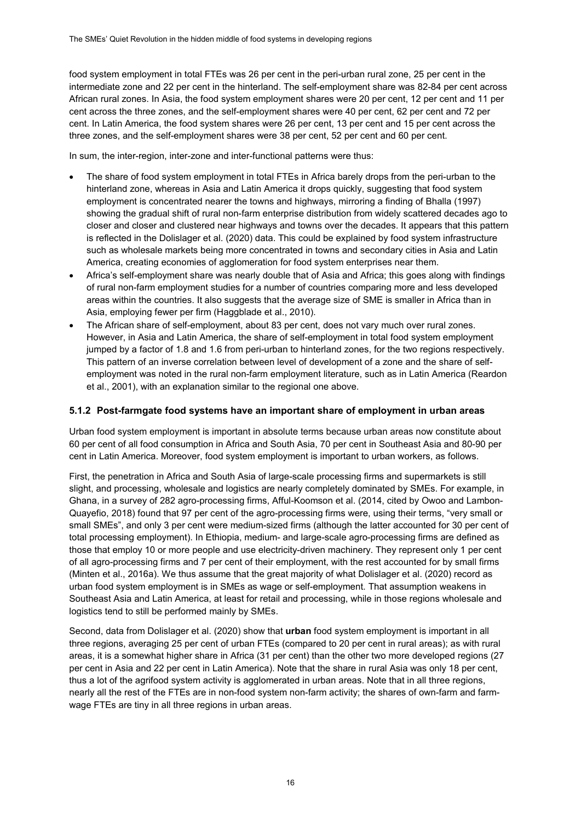food system employment in total FTEs was 26 per cent in the peri-urban rural zone, 25 per cent in the intermediate zone and 22 per cent in the hinterland. The self-employment share was 82-84 per cent across African rural zones. In Asia, the food system employment shares were 20 per cent, 12 per cent and 11 per cent across the three zones, and the self-employment shares were 40 per cent, 62 per cent and 72 per cent. In Latin America, the food system shares were 26 per cent, 13 per cent and 15 per cent across the three zones, and the self-employment shares were 38 per cent, 52 per cent and 60 per cent.

In sum, the inter-region, inter-zone and inter-functional patterns were thus:

- The share of food system employment in total FTEs in Africa barely drops from the peri-urban to the hinterland zone, whereas in Asia and Latin America it drops quickly, suggesting that food system employment is concentrated nearer the towns and highways, mirroring a finding of Bhalla (1997) showing the gradual shift of rural non-farm enterprise distribution from widely scattered decades ago to closer and closer and clustered near highways and towns over the decades. It appears that this pattern is reflected in the Dolislager et al. (2020) data. This could be explained by food system infrastructure such as wholesale markets being more concentrated in towns and secondary cities in Asia and Latin America, creating economies of agglomeration for food system enterprises near them.
- Africa's self-employment share was nearly double that of Asia and Africa; this goes along with findings of rural non-farm employment studies for a number of countries comparing more and less developed areas within the countries. It also suggests that the average size of SME is smaller in Africa than in Asia, employing fewer per firm (Haggblade et al., 2010).
- The African share of self-employment, about 83 per cent, does not vary much over rural zones. However, in Asia and Latin America, the share of self-employment in total food system employment jumped by a factor of 1.8 and 1.6 from peri-urban to hinterland zones, for the two regions respectively. This pattern of an inverse correlation between level of development of a zone and the share of selfemployment was noted in the rural non-farm employment literature, such as in Latin America (Reardon et al., 2001), with an explanation similar to the regional one above.

#### **5.1.2 Post-farmgate food systems have an important share of employment in urban areas**

Urban food system employment is important in absolute terms because urban areas now constitute about 60 per cent of all food consumption in Africa and South Asia, 70 per cent in Southeast Asia and 80-90 per cent in Latin America. Moreover, food system employment is important to urban workers, as follows.

First, the penetration in Africa and South Asia of large-scale processing firms and supermarkets is still slight, and processing, wholesale and logistics are nearly completely dominated by SMEs. For example, in Ghana, in a survey of 282 agro-processing firms, Afful-Koomson et al. (2014, cited by Owoo and Lambon-Quayefio, 2018) found that 97 per cent of the agro-processing firms were, using their terms, "very small or small SMEs", and only 3 per cent were medium-sized firms (although the latter accounted for 30 per cent of total processing employment). In Ethiopia, medium- and large-scale agro-processing firms are defined as those that employ 10 or more people and use electricity-driven machinery. They represent only 1 per cent of all agro-processing firms and 7 per cent of their employment, with the rest accounted for by small firms (Minten et al., 2016a). We thus assume that the great majority of what Dolislager et al. (2020) record as urban food system employment is in SMEs as wage or self-employment. That assumption weakens in Southeast Asia and Latin America, at least for retail and processing, while in those regions wholesale and logistics tend to still be performed mainly by SMEs.

Second, data from Dolislager et al. (2020) show that **urban** food system employment is important in all three regions, averaging 25 per cent of urban FTEs (compared to 20 per cent in rural areas); as with rural areas, it is a somewhat higher share in Africa (31 per cent) than the other two more developed regions (27 per cent in Asia and 22 per cent in Latin America). Note that the share in rural Asia was only 18 per cent, thus a lot of the agrifood system activity is agglomerated in urban areas. Note that in all three regions, nearly all the rest of the FTEs are in non-food system non-farm activity; the shares of own-farm and farmwage FTEs are tiny in all three regions in urban areas.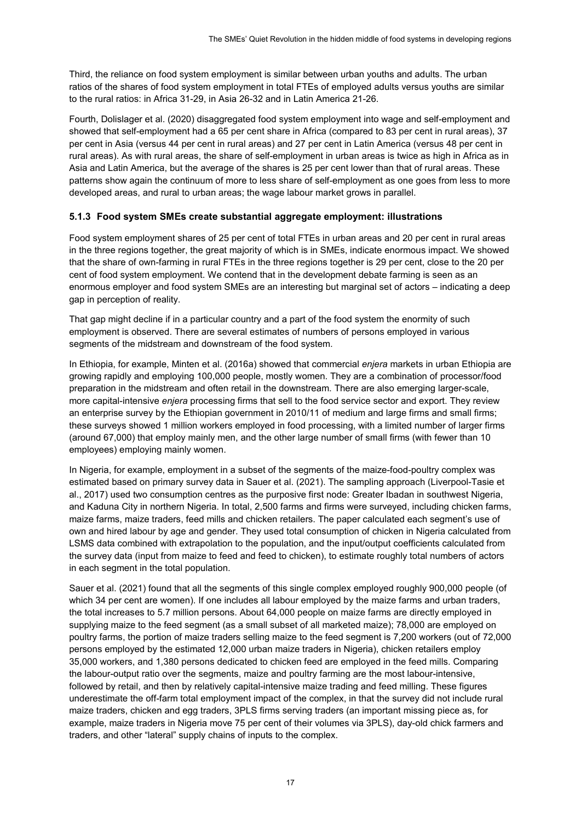Third, the reliance on food system employment is similar between urban youths and adults. The urban ratios of the shares of food system employment in total FTEs of employed adults versus youths are similar to the rural ratios: in Africa 31-29, in Asia 26-32 and in Latin America 21-26.

Fourth, Dolislager et al. (2020) disaggregated food system employment into wage and self-employment and showed that self-employment had a 65 per cent share in Africa (compared to 83 per cent in rural areas), 37 per cent in Asia (versus 44 per cent in rural areas) and 27 per cent in Latin America (versus 48 per cent in rural areas). As with rural areas, the share of self-employment in urban areas is twice as high in Africa as in Asia and Latin America, but the average of the shares is 25 per cent lower than that of rural areas. These patterns show again the continuum of more to less share of self-employment as one goes from less to more developed areas, and rural to urban areas; the wage labour market grows in parallel.

#### **5.1.3 Food system SMEs create substantial aggregate employment: illustrations**

Food system employment shares of 25 per cent of total FTEs in urban areas and 20 per cent in rural areas in the three regions together, the great majority of which is in SMEs, indicate enormous impact. We showed that the share of own-farming in rural FTEs in the three regions together is 29 per cent, close to the 20 per cent of food system employment. We contend that in the development debate farming is seen as an enormous employer and food system SMEs are an interesting but marginal set of actors – indicating a deep gap in perception of reality.

That gap might decline if in a particular country and a part of the food system the enormity of such employment is observed. There are several estimates of numbers of persons employed in various segments of the midstream and downstream of the food system.

In Ethiopia, for example, Minten et al. (2016a) showed that commercial *enjera* markets in urban Ethiopia are growing rapidly and employing 100,000 people, mostly women. They are a combination of processor/food preparation in the midstream and often retail in the downstream. There are also emerging larger-scale, more capital-intensive *enjera* processing firms that sell to the food service sector and export. They review an enterprise survey by the Ethiopian government in 2010/11 of medium and large firms and small firms; these surveys showed 1 million workers employed in food processing, with a limited number of larger firms (around 67,000) that employ mainly men, and the other large number of small firms (with fewer than 10 employees) employing mainly women.

In Nigeria, for example, employment in a subset of the segments of the maize-food-poultry complex was estimated based on primary survey data in Sauer et al. (2021). The sampling approach (Liverpool-Tasie et al., 2017) used two consumption centres as the purposive first node: Greater Ibadan in southwest Nigeria, and Kaduna City in northern Nigeria. In total, 2,500 farms and firms were surveyed, including chicken farms, maize farms, maize traders, feed mills and chicken retailers. The paper calculated each segment's use of own and hired labour by age and gender. They used total consumption of chicken in Nigeria calculated from LSMS data combined with extrapolation to the population, and the input/output coefficients calculated from the survey data (input from maize to feed and feed to chicken), to estimate roughly total numbers of actors in each segment in the total population.

Sauer et al. (2021) found that all the segments of this single complex employed roughly 900,000 people (of which 34 per cent are women). If one includes all labour employed by the maize farms and urban traders, the total increases to 5.7 million persons. About 64,000 people on maize farms are directly employed in supplying maize to the feed segment (as a small subset of all marketed maize); 78,000 are employed on poultry farms, the portion of maize traders selling maize to the feed segment is 7,200 workers (out of 72,000 persons employed by the estimated 12,000 urban maize traders in Nigeria), chicken retailers employ 35,000 workers, and 1,380 persons dedicated to chicken feed are employed in the feed mills. Comparing the labour-output ratio over the segments, maize and poultry farming are the most labour-intensive, followed by retail, and then by relatively capital-intensive maize trading and feed milling. These figures underestimate the off-farm total employment impact of the complex, in that the survey did not include rural maize traders, chicken and egg traders, 3PLS firms serving traders (an important missing piece as, for example, maize traders in Nigeria move 75 per cent of their volumes via 3PLS), day-old chick farmers and traders, and other "lateral" supply chains of inputs to the complex.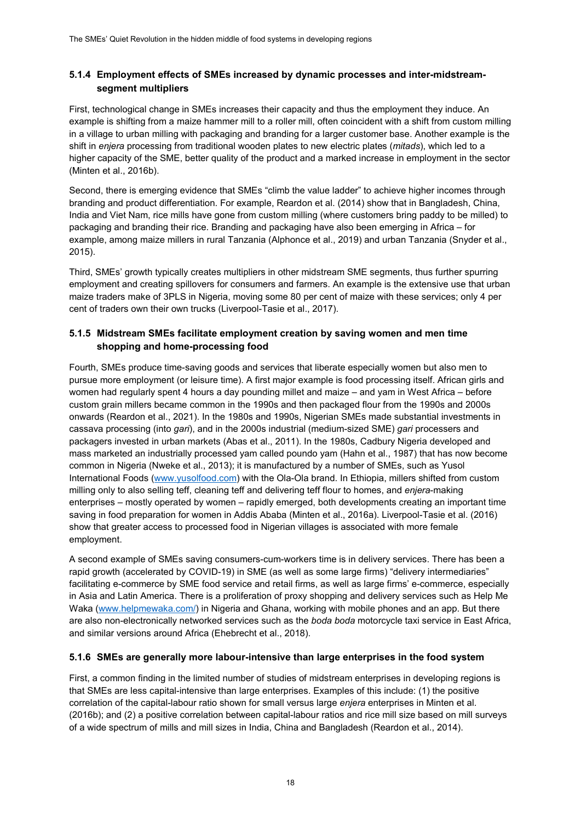#### **5.1.4 Employment effects of SMEs increased by dynamic processes and inter-midstreamsegment multipliers**

First, technological change in SMEs increases their capacity and thus the employment they induce. An example is shifting from a maize hammer mill to a roller mill, often coincident with a shift from custom milling in a village to urban milling with packaging and branding for a larger customer base. Another example is the shift in *enjera* processing from traditional wooden plates to new electric plates (*mitads*), which led to a higher capacity of the SME, better quality of the product and a marked increase in employment in the sector (Minten et al., 2016b).

Second, there is emerging evidence that SMEs "climb the value ladder" to achieve higher incomes through branding and product differentiation. For example, Reardon et al. (2014) show that in Bangladesh, China, India and Viet Nam, rice mills have gone from custom milling (where customers bring paddy to be milled) to packaging and branding their rice. Branding and packaging have also been emerging in Africa – for example, among maize millers in rural Tanzania (Alphonce et al., 2019) and urban Tanzania (Snyder et al., 2015).

Third, SMEs' growth typically creates multipliers in other midstream SME segments, thus further spurring employment and creating spillovers for consumers and farmers. An example is the extensive use that urban maize traders make of 3PLS in Nigeria, moving some 80 per cent of maize with these services; only 4 per cent of traders own their own trucks (Liverpool-Tasie et al., 2017).

#### **5.1.5 Midstream SMEs facilitate employment creation by saving women and men time shopping and home-processing food**

Fourth, SMEs produce time-saving goods and services that liberate especially women but also men to pursue more employment (or leisure time). A first major example is food processing itself. African girls and women had regularly spent 4 hours a day pounding millet and maize – and yam in West Africa – before custom grain millers became common in the 1990s and then packaged flour from the 1990s and 2000s onwards (Reardon et al., 2021). In the 1980s and 1990s, Nigerian SMEs made substantial investments in cassava processing (into *gari*), and in the 2000s industrial (medium-sized SME) *gari* processers and packagers invested in urban markets (Abas et al., 2011). In the 1980s, Cadbury Nigeria developed and mass marketed an industrially processed yam called poundo yam (Hahn et al., 1987) that has now become common in Nigeria (Nweke et al., 2013); it is manufactured by a number of SMEs, such as Yusol International Foods [\(www.yusolfood.com\)](http://www.yusolfood.com/) with the Ola-Ola brand. In Ethiopia, millers shifted from custom milling only to also selling teff, cleaning teff and delivering teff flour to homes, and *enjera*-making enterprises – mostly operated by women – rapidly emerged, both developments creating an important time saving in food preparation for women in Addis Ababa (Minten et al., 2016a). Liverpool-Tasie et al. (2016) show that greater access to processed food in Nigerian villages is associated with more female employment.

A second example of SMEs saving consumers-cum-workers time is in delivery services. There has been a rapid growth (accelerated by COVID-19) in SME (as well as some large firms) "delivery intermediaries" facilitating e-commerce by SME food service and retail firms, as well as large firms' e-commerce, especially in Asia and Latin America. There is a proliferation of proxy shopping and delivery services such as Help Me Waka [\(www.helpmewaka.com/\)](http://www.helpmewaka.com/) in Nigeria and Ghana, working with mobile phones and an app. But there are also non-electronically networked services such as the *boda boda* motorcycle taxi service in East Africa, and similar versions around Africa (Ehebrecht et al., 2018).

#### **5.1.6 SMEs are generally more labour-intensive than large enterprises in the food system**

First, a common finding in the limited number of studies of midstream enterprises in developing regions is that SMEs are less capital-intensive than large enterprises. Examples of this include: (1) the positive correlation of the capital-labour ratio shown for small versus large *enjera* enterprises in Minten et al. (2016b); and (2) a positive correlation between capital-labour ratios and rice mill size based on mill surveys of a wide spectrum of mills and mill sizes in India, China and Bangladesh (Reardon et al., 2014).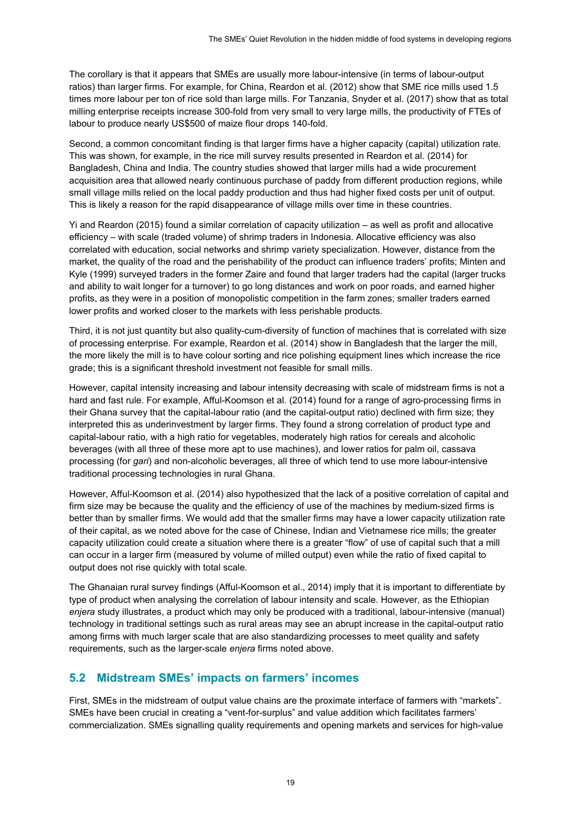The corollary is that it appears that SMEs are usually more labour-intensive (in terms of labour-output ratios) than larger firms. For example, for China, Reardon et al. (2012) show that SME rice mills used 1.5 times more labour per ton of rice sold than large mills. For Tanzania, Snyder et al. (2017) show that as total milling enterprise receipts increase 300-fold from very small to very large mills, the productivity of FTEs of labour to produce nearly US\$500 of maize flour drops 140-fold.

Second, a common concomitant finding is that larger firms have a higher capacity (capital) utilization rate. This was shown, for example, in the rice mill survey results presented in Reardon et al. (2014) for Bangladesh, China and India. The country studies showed that larger mills had a wide procurement acquisition area that allowed nearly continuous purchase of paddy from different production regions, while small village mills relied on the local paddy production and thus had higher fixed costs per unit of output. This is likely a reason for the rapid disappearance of village mills over time in these countries.

Yi and Reardon (2015) found a similar correlation of capacity utilization – as well as profit and allocative efficiency – with scale (traded volume) of shrimp traders in Indonesia. Allocative efficiency was also correlated with education, social networks and shrimp variety specialization. However, distance from the market, the quality of the road and the perishability of the product can influence traders' profits; Minten and Kyle (1999) surveyed traders in the former Zaire and found that larger traders had the capital (larger trucks and ability to wait longer for a turnover) to go long distances and work on poor roads, and earned higher profits, as they were in a position of monopolistic competition in the farm zones; smaller traders earned lower profits and worked closer to the markets with less perishable products.

Third, it is not just quantity but also quality-cum-diversity of function of machines that is correlated with size of processing enterprise. For example, Reardon et al. (2014) show in Bangladesh that the larger the mill, the more likely the mill is to have colour sorting and rice polishing equipment lines which increase the rice grade; this is a significant threshold investment not feasible for small mills.

However, capital intensity increasing and labour intensity decreasing with scale of midstream firms is not a hard and fast rule. For example, Afful-Koomson et al. (2014) found for a range of agro-processing firms in their Ghana survey that the capital-labour ratio (and the capital-output ratio) declined with firm size; they interpreted this as underinvestment by larger firms. They found a strong correlation of product type and capital-labour ratio, with a high ratio for vegetables, moderately high ratios for cereals and alcoholic beverages (with all three of these more apt to use machines), and lower ratios for palm oil, cassava processing (for *gari*) and non-alcoholic beverages, all three of which tend to use more labour-intensive traditional processing technologies in rural Ghana.

However, Afful-Koomson et al. (2014) also hypothesized that the lack of a positive correlation of capital and firm size may be because the quality and the efficiency of use of the machines by medium-sized firms is better than by smaller firms. We would add that the smaller firms may have a lower capacity utilization rate of their capital, as we noted above for the case of Chinese, Indian and Vietnamese rice mills; the greater capacity utilization could create a situation where there is a greater "flow" of use of capital such that a mill can occur in a larger firm (measured by volume of milled output) even while the ratio of fixed capital to output does not rise quickly with total scale.

The Ghanaian rural survey findings (Afful-Koomson et al., 2014) imply that it is important to differentiate by type of product when analysing the correlation of labour intensity and scale. However, as the Ethiopian *enjera* study illustrates, a product which may only be produced with a traditional, labour-intensive (manual) technology in traditional settings such as rural areas may see an abrupt increase in the capital-output ratio among firms with much larger scale that are also standardizing processes to meet quality and safety requirements, such as the larger-scale *enjera* firms noted above.

### **5.2 Midstream SMEs' impacts on farmers' incomes**

First, SMEs in the midstream of output value chains are the proximate interface of farmers with "markets". SMEs have been crucial in creating a "vent-for-surplus" and value addition which facilitates farmers' commercialization. SMEs signalling quality requirements and opening markets and services for high-value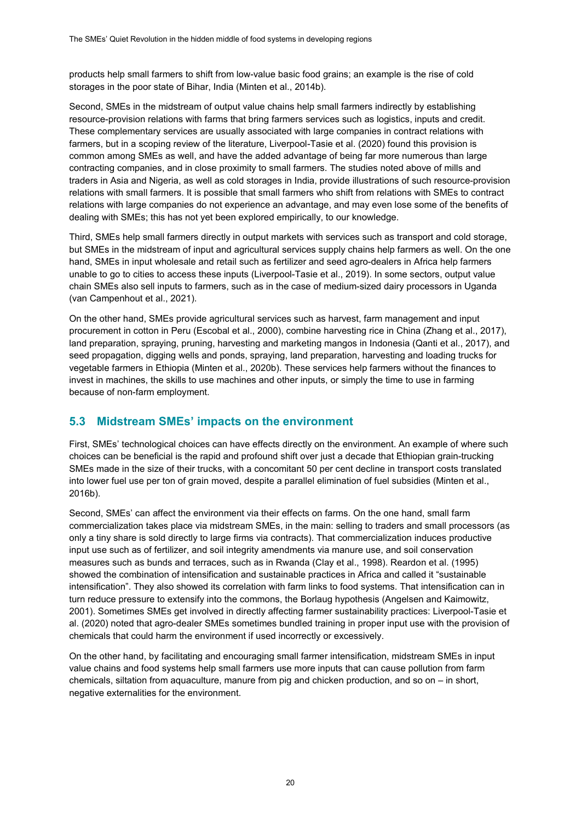products help small farmers to shift from low-value basic food grains; an example is the rise of cold storages in the poor state of Bihar, India (Minten et al., 2014b).

Second, SMEs in the midstream of output value chains help small farmers indirectly by establishing resource-provision relations with farms that bring farmers services such as logistics, inputs and credit. These complementary services are usually associated with large companies in contract relations with farmers, but in a scoping review of the literature, Liverpool-Tasie et al. (2020) found this provision is common among SMEs as well, and have the added advantage of being far more numerous than large contracting companies, and in close proximity to small farmers. The studies noted above of mills and traders in Asia and Nigeria, as well as cold storages in India, provide illustrations of such resource-provision relations with small farmers. It is possible that small farmers who shift from relations with SMEs to contract relations with large companies do not experience an advantage, and may even lose some of the benefits of dealing with SMEs; this has not yet been explored empirically, to our knowledge.

Third, SMEs help small farmers directly in output markets with services such as transport and cold storage, but SMEs in the midstream of input and agricultural services supply chains help farmers as well. On the one hand, SMEs in input wholesale and retail such as fertilizer and seed agro-dealers in Africa help farmers unable to go to cities to access these inputs (Liverpool-Tasie et al., 2019). In some sectors, output value chain SMEs also sell inputs to farmers, such as in the case of medium-sized dairy processors in Uganda (van Campenhout et al., 2021).

On the other hand, SMEs provide agricultural services such as harvest, farm management and input procurement in cotton in Peru (Escobal et al., 2000), combine harvesting rice in China (Zhang et al., 2017), land preparation, spraying, pruning, harvesting and marketing mangos in Indonesia (Qanti et al., 2017), and seed propagation, digging wells and ponds, spraying, land preparation, harvesting and loading trucks for vegetable farmers in Ethiopia (Minten et al., 2020b). These services help farmers without the finances to invest in machines, the skills to use machines and other inputs, or simply the time to use in farming because of non-farm employment.

### **5.3 Midstream SMEs' impacts on the environment**

First, SMEs' technological choices can have effects directly on the environment. An example of where such choices can be beneficial is the rapid and profound shift over just a decade that Ethiopian grain-trucking SMEs made in the size of their trucks, with a concomitant 50 per cent decline in transport costs translated into lower fuel use per ton of grain moved, despite a parallel elimination of fuel subsidies (Minten et al., 2016b).

Second, SMEs' can affect the environment via their effects on farms. On the one hand, small farm commercialization takes place via midstream SMEs, in the main: selling to traders and small processors (as only a tiny share is sold directly to large firms via contracts). That commercialization induces productive input use such as of fertilizer, and soil integrity amendments via manure use, and soil conservation measures such as bunds and terraces, such as in Rwanda (Clay et al., 1998). Reardon et al. (1995) showed the combination of intensification and sustainable practices in Africa and called it "sustainable intensification". They also showed its correlation with farm links to food systems. That intensification can in turn reduce pressure to extensify into the commons, the Borlaug hypothesis (Angelsen and Kaimowitz, 2001). Sometimes SMEs get involved in directly affecting farmer sustainability practices: Liverpool-Tasie et al. (2020) noted that agro-dealer SMEs sometimes bundled training in proper input use with the provision of chemicals that could harm the environment if used incorrectly or excessively.

On the other hand, by facilitating and encouraging small farmer intensification, midstream SMEs in input value chains and food systems help small farmers use more inputs that can cause pollution from farm chemicals, siltation from aquaculture, manure from pig and chicken production, and so on – in short, negative externalities for the environment.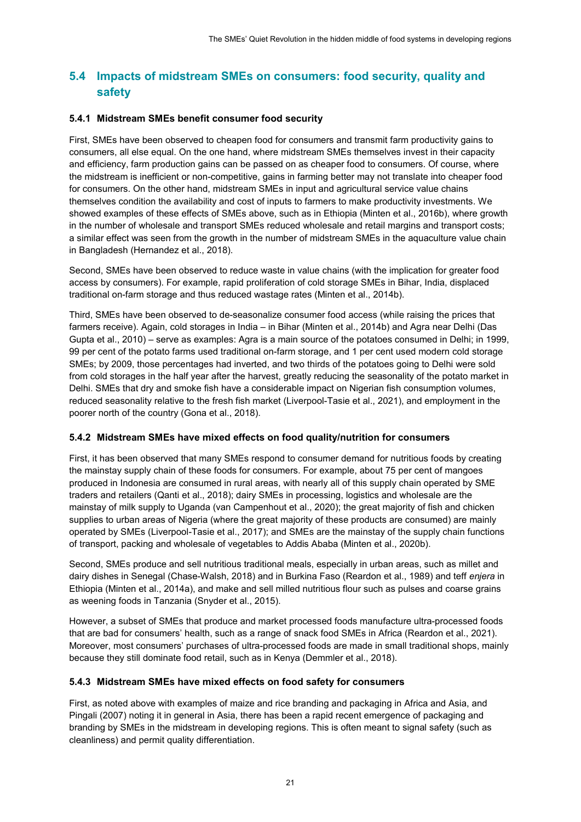### **5.4 Impacts of midstream SMEs on consumers: food security, quality and safety**

#### **5.4.1 Midstream SMEs benefit consumer food security**

First, SMEs have been observed to cheapen food for consumers and transmit farm productivity gains to consumers, all else equal. On the one hand, where midstream SMEs themselves invest in their capacity and efficiency, farm production gains can be passed on as cheaper food to consumers. Of course, where the midstream is inefficient or non-competitive, gains in farming better may not translate into cheaper food for consumers. On the other hand, midstream SMEs in input and agricultural service value chains themselves condition the availability and cost of inputs to farmers to make productivity investments. We showed examples of these effects of SMEs above, such as in Ethiopia (Minten et al., 2016b), where growth in the number of wholesale and transport SMEs reduced wholesale and retail margins and transport costs; a similar effect was seen from the growth in the number of midstream SMEs in the aquaculture value chain in Bangladesh (Hernandez et al., 2018).

Second, SMEs have been observed to reduce waste in value chains (with the implication for greater food access by consumers). For example, rapid proliferation of cold storage SMEs in Bihar, India, displaced traditional on-farm storage and thus reduced wastage rates (Minten et al., 2014b).

Third, SMEs have been observed to de-seasonalize consumer food access (while raising the prices that farmers receive). Again, cold storages in India – in Bihar (Minten et al., 2014b) and Agra near Delhi (Das Gupta et al., 2010) – serve as examples: Agra is a main source of the potatoes consumed in Delhi; in 1999, 99 per cent of the potato farms used traditional on-farm storage, and 1 per cent used modern cold storage SMEs; by 2009, those percentages had inverted, and two thirds of the potatoes going to Delhi were sold from cold storages in the half year after the harvest, greatly reducing the seasonality of the potato market in Delhi. SMEs that dry and smoke fish have a considerable impact on Nigerian fish consumption volumes, reduced seasonality relative to the fresh fish market (Liverpool-Tasie et al., 2021), and employment in the poorer north of the country (Gona et al., 2018).

#### **5.4.2 Midstream SMEs have mixed effects on food quality/nutrition for consumers**

First, it has been observed that many SMEs respond to consumer demand for nutritious foods by creating the mainstay supply chain of these foods for consumers. For example, about 75 per cent of mangoes produced in Indonesia are consumed in rural areas, with nearly all of this supply chain operated by SME traders and retailers (Qanti et al., 2018); dairy SMEs in processing, logistics and wholesale are the mainstay of milk supply to Uganda (van Campenhout et al., 2020); the great majority of fish and chicken supplies to urban areas of Nigeria (where the great majority of these products are consumed) are mainly operated by SMEs (Liverpool-Tasie et al., 2017); and SMEs are the mainstay of the supply chain functions of transport, packing and wholesale of vegetables to Addis Ababa (Minten et al., 2020b).

Second, SMEs produce and sell nutritious traditional meals, especially in urban areas, such as millet and dairy dishes in Senegal (Chase-Walsh, 2018) and in Burkina Faso (Reardon et al., 1989) and teff *enjera* in Ethiopia (Minten et al., 2014a), and make and sell milled nutritious flour such as pulses and coarse grains as weening foods in Tanzania (Snyder et al., 2015).

However, a subset of SMEs that produce and market processed foods manufacture ultra-processed foods that are bad for consumers' health, such as a range of snack food SMEs in Africa (Reardon et al., 2021). Moreover, most consumers' purchases of ultra-processed foods are made in small traditional shops, mainly because they still dominate food retail, such as in Kenya (Demmler et al., 2018).

#### **5.4.3 Midstream SMEs have mixed effects on food safety for consumers**

First, as noted above with examples of maize and rice branding and packaging in Africa and Asia, and Pingali (2007) noting it in general in Asia, there has been a rapid recent emergence of packaging and branding by SMEs in the midstream in developing regions. This is often meant to signal safety (such as cleanliness) and permit quality differentiation.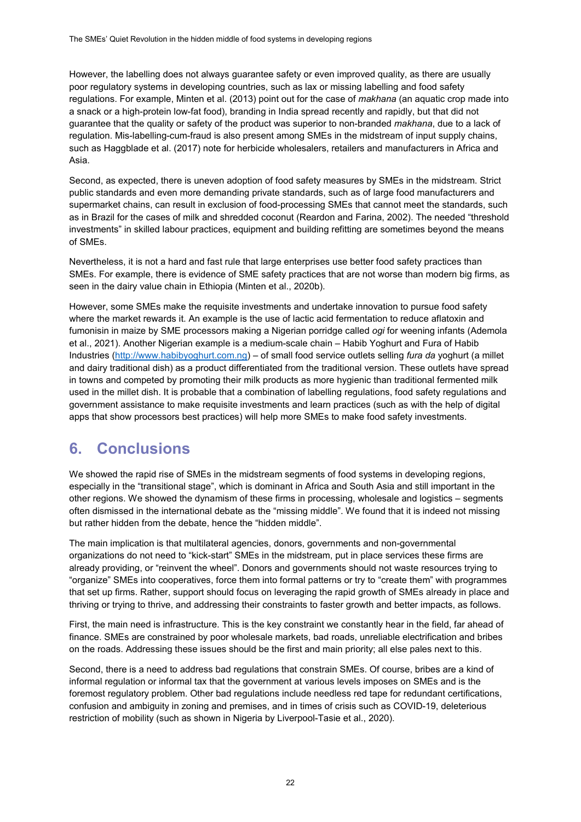However, the labelling does not always guarantee safety or even improved quality, as there are usually poor regulatory systems in developing countries, such as lax or missing labelling and food safety regulations. For example, Minten et al. (2013) point out for the case of *makhana* (an aquatic crop made into a snack or a high-protein low-fat food), branding in India spread recently and rapidly, but that did not guarantee that the quality or safety of the product was superior to non-branded *makhana*, due to a lack of regulation. Mis-labelling-cum-fraud is also present among SMEs in the midstream of input supply chains, such as Haggblade et al. (2017) note for herbicide wholesalers, retailers and manufacturers in Africa and Asia.

Second, as expected, there is uneven adoption of food safety measures by SMEs in the midstream. Strict public standards and even more demanding private standards, such as of large food manufacturers and supermarket chains, can result in exclusion of food-processing SMEs that cannot meet the standards, such as in Brazil for the cases of milk and shredded coconut (Reardon and Farina, 2002). The needed "threshold investments" in skilled labour practices, equipment and building refitting are sometimes beyond the means of SMEs.

Nevertheless, it is not a hard and fast rule that large enterprises use better food safety practices than SMEs. For example, there is evidence of SME safety practices that are not worse than modern big firms, as seen in the dairy value chain in Ethiopia (Minten et al., 2020b).

However, some SMEs make the requisite investments and undertake innovation to pursue food safety where the market rewards it. An example is the use of lactic acid fermentation to reduce aflatoxin and fumonisin in maize by SME processors making a Nigerian porridge called *ogi* for weening infants (Ademola et al., 2021). Another Nigerian example is a medium-scale chain – Habib Yoghurt and Fura of Habib Industries [\(http://www.habibyoghurt.com.ng\)](http://www.habibyoghurt.com.ng/) – of small food service outlets selling *fura da* yoghurt (a millet and dairy traditional dish) as a product differentiated from the traditional version. These outlets have spread in towns and competed by promoting their milk products as more hygienic than traditional fermented milk used in the millet dish. It is probable that a combination of labelling regulations, food safety regulations and government assistance to make requisite investments and learn practices (such as with the help of digital apps that show processors best practices) will help more SMEs to make food safety investments.

# **6. Conclusions**

We showed the rapid rise of SMEs in the midstream segments of food systems in developing regions, especially in the "transitional stage", which is dominant in Africa and South Asia and still important in the other regions. We showed the dynamism of these firms in processing, wholesale and logistics – segments often dismissed in the international debate as the "missing middle". We found that it is indeed not missing but rather hidden from the debate, hence the "hidden middle".

The main implication is that multilateral agencies, donors, governments and non-governmental organizations do not need to "kick-start" SMEs in the midstream, put in place services these firms are already providing, or "reinvent the wheel". Donors and governments should not waste resources trying to "organize" SMEs into cooperatives, force them into formal patterns or try to "create them" with programmes that set up firms. Rather, support should focus on leveraging the rapid growth of SMEs already in place and thriving or trying to thrive, and addressing their constraints to faster growth and better impacts, as follows.

First, the main need is infrastructure. This is the key constraint we constantly hear in the field, far ahead of finance. SMEs are constrained by poor wholesale markets, bad roads, unreliable electrification and bribes on the roads. Addressing these issues should be the first and main priority; all else pales next to this.

Second, there is a need to address bad regulations that constrain SMEs. Of course, bribes are a kind of informal regulation or informal tax that the government at various levels imposes on SMEs and is the foremost regulatory problem. Other bad regulations include needless red tape for redundant certifications, confusion and ambiguity in zoning and premises, and in times of crisis such as COVID-19, deleterious restriction of mobility (such as shown in Nigeria by Liverpool-Tasie et al., 2020).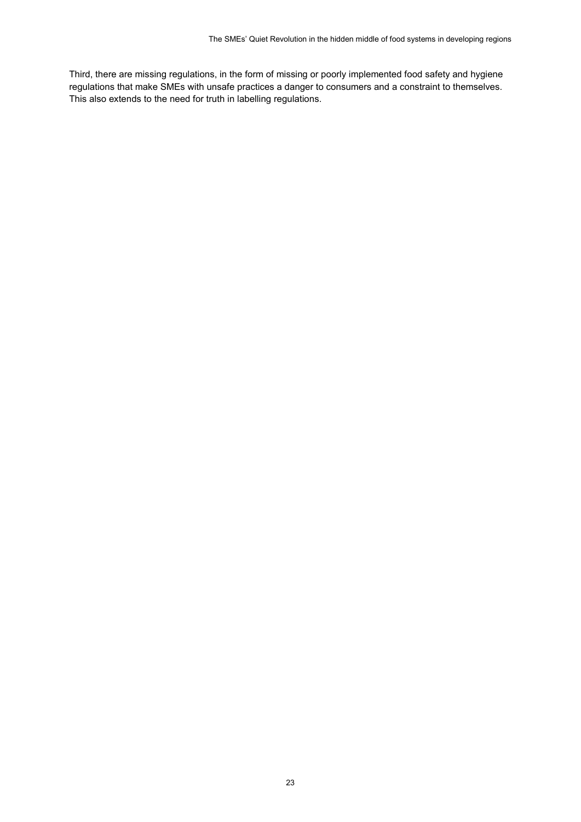Third, there are missing regulations, in the form of missing or poorly implemented food safety and hygiene regulations that make SMEs with unsafe practices a danger to consumers and a constraint to themselves. This also extends to the need for truth in labelling regulations.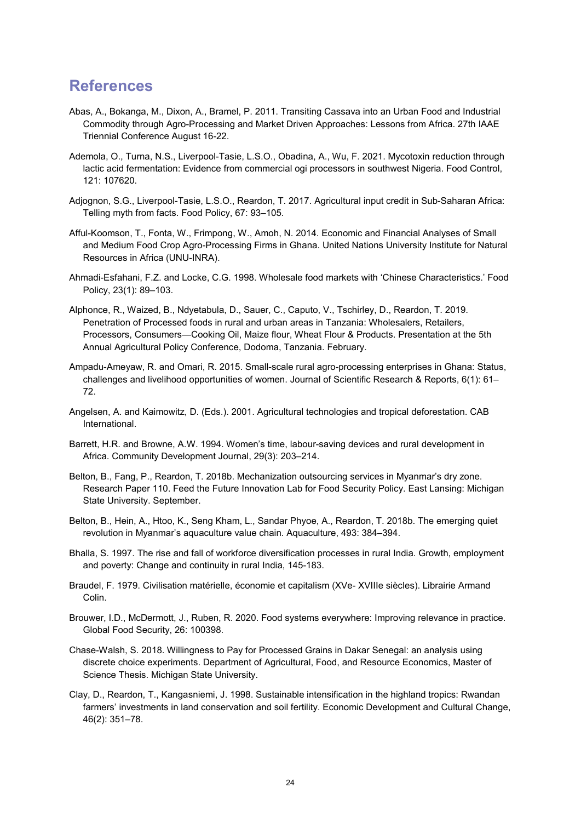### **References**

- Abas, A., Bokanga, M., Dixon, A., Bramel, P. 2011. Transiting Cassava into an Urban Food and Industrial Commodity through Agro-Processing and Market Driven Approaches: Lessons from Africa. 27th IAAE Triennial Conference August 16-22.
- Ademola, O., Turna, N.S., Liverpool-Tasie, L.S.O., Obadina, A., Wu, F. 2021. Mycotoxin reduction through lactic acid fermentation: Evidence from commercial ogi processors in southwest Nigeria. Food Control, 121: 107620.
- Adjognon, S.G., Liverpool-Tasie, L.S.O., Reardon, T. 2017. Agricultural input credit in Sub-Saharan Africa: Telling myth from facts. Food Policy, 67: 93–105.
- Afful-Koomson, T., Fonta, W., Frimpong, W., Amoh, N. 2014. Economic and Financial Analyses of Small and Medium Food Crop Agro-Processing Firms in Ghana. United Nations University Institute for Natural Resources in Africa (UNU-INRA).
- Ahmadi-Esfahani, F.Z. and Locke, C.G. 1998. Wholesale food markets with 'Chinese Characteristics.' Food Policy, 23(1): 89–103.
- Alphonce, R., Waized, B., Ndyetabula, D., Sauer, C., Caputo, V., Tschirley, D., Reardon, T. 2019. Penetration of Processed foods in rural and urban areas in Tanzania: Wholesalers, Retailers, Processors, Consumers—Cooking Oil, Maize flour, Wheat Flour & Products. Presentation at the 5th Annual Agricultural Policy Conference, Dodoma, Tanzania. February.
- Ampadu-Ameyaw, R. and Omari, R. 2015. Small-scale rural agro-processing enterprises in Ghana: Status, challenges and livelihood opportunities of women. Journal of Scientific Research & Reports, 6(1): 61– 72.
- Angelsen, A. and Kaimowitz, D. (Eds.). 2001. Agricultural technologies and tropical deforestation. CAB International.
- Barrett, H.R. and Browne, A.W. 1994. Women's time, labour-saving devices and rural development in Africa. Community Development Journal, 29(3): 203–214.
- Belton, B., Fang, P., Reardon, T. 2018b. Mechanization outsourcing services in Myanmar's dry zone. Research Paper 110. Feed the Future Innovation Lab for Food Security Policy. East Lansing: Michigan State University. September.
- Belton, B., Hein, A., Htoo, K., Seng Kham, L., Sandar Phyoe, A., Reardon, T. 2018b. The emerging quiet revolution in Myanmar's aquaculture value chain. Aquaculture, 493: 384–394.
- Bhalla, S. 1997. The rise and fall of workforce diversification processes in rural India. Growth, employment and poverty: Change and continuity in rural India, 145-183.
- Braudel, F. 1979. Civilisation matérielle, économie et capitalism (XVe- XVIIIe siècles). Librairie Armand Colin.
- Brouwer, I.D., McDermott, J., Ruben, R. 2020. Food systems everywhere: Improving relevance in practice. Global Food Security, 26: 100398.
- Chase-Walsh, S. 2018. Willingness to Pay for Processed Grains in Dakar Senegal: an analysis using discrete choice experiments. Department of Agricultural, Food, and Resource Economics, Master of Science Thesis. Michigan State University.
- Clay, D., Reardon, T., Kangasniemi, J. 1998. Sustainable intensification in the highland tropics: Rwandan farmers' investments in land conservation and soil fertility. Economic Development and Cultural Change, 46(2): 351–78.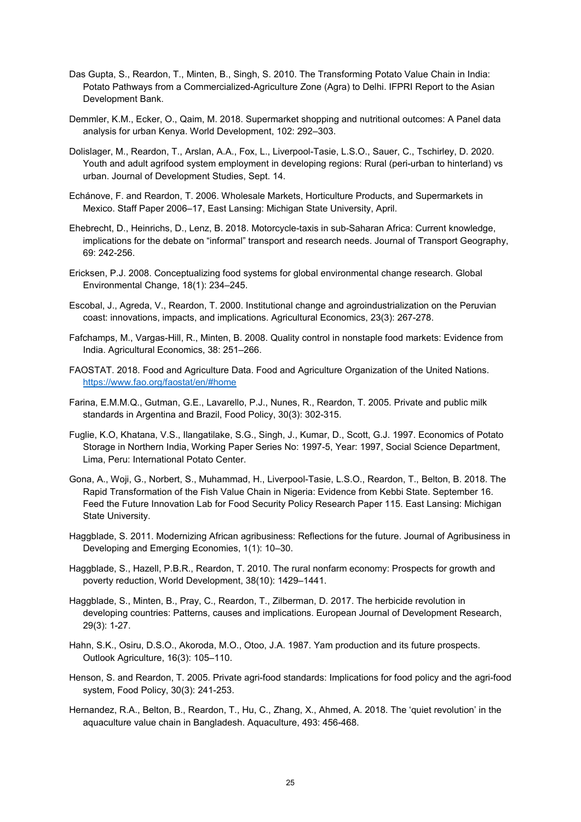- Das Gupta, S., Reardon, T., Minten, B., Singh, S. 2010. The Transforming Potato Value Chain in India: Potato Pathways from a Commercialized-Agriculture Zone (Agra) to Delhi. IFPRI Report to the Asian Development Bank.
- Demmler, K.M., Ecker, O., Qaim, M. 2018. Supermarket shopping and nutritional outcomes: A Panel data analysis for urban Kenya. World Development, 102: 292–303.
- Dolislager, M., Reardon, T., Arslan, A.A., Fox, L., Liverpool-Tasie, L.S.O., Sauer, C., Tschirley, D. 2020. Youth and adult agrifood system employment in developing regions: Rural (peri-urban to hinterland) vs urban. Journal of Development Studies, Sept. 14.
- Echánove, F. and Reardon, T. 2006. Wholesale Markets, Horticulture Products, and Supermarkets in Mexico. Staff Paper 2006–17, East Lansing: Michigan State University, April.
- Ehebrecht, D., Heinrichs, D., Lenz, B. 2018. Motorcycle-taxis in sub-Saharan Africa: Current knowledge, implications for the debate on "informal" transport and research needs. Journal of Transport Geography, 69: 242-256.
- Ericksen, P.J. 2008. Conceptualizing food systems for global environmental change research. Global Environmental Change, 18(1): 234–245.
- Escobal, J., Agreda, V., Reardon, T. 2000. Institutional change and agroindustrialization on the Peruvian coast: innovations, impacts, and implications. Agricultural Economics, 23(3): 267-278.
- Fafchamps, M., Vargas-Hill, R., Minten, B. 2008. Quality control in nonstaple food markets: Evidence from India. Agricultural Economics, 38: 251–266.
- FAOSTAT. 2018. Food and Agriculture Data. Food and Agriculture Organization of the United Nations. <https://www.fao.org/faostat/en/#home>
- Farina, E.M.M.Q., Gutman, G.E., Lavarello, P.J., Nunes, R., Reardon, T. 2005. Private and public milk standards in Argentina and Brazil, Food Policy, 30(3): 302-315.
- Fuglie, K.O, Khatana, V.S., Ilangatilake, S.G., Singh, J., Kumar, D., Scott, G.J. 1997. Economics of Potato Storage in Northern India, Working Paper Series No: 1997-5, Year: 1997, Social Science Department, Lima, Peru: International Potato Center.
- Gona, A., Woji, G., Norbert, S., Muhammad, H., Liverpool-Tasie, L.S.O., Reardon, T., Belton, B. 2018. The Rapid Transformation of the Fish Value Chain in Nigeria: Evidence from Kebbi State. September 16. Feed the Future Innovation Lab for Food Security Policy Research Paper 115. East Lansing: Michigan State University.
- Haggblade, S. 2011. Modernizing African agribusiness: Reflections for the future. Journal of Agribusiness in Developing and Emerging Economies, 1(1): 10–30.
- Haggblade, S., Hazell, P.B.R., Reardon, T. 2010. The rural nonfarm economy: Prospects for growth and poverty reduction, World Development, 38(10): 1429–1441.
- Haggblade, S., Minten, B., Pray, C., Reardon, T., Zilberman, D. 2017. The herbicide revolution in developing countries: Patterns, causes and implications. European Journal of Development Research, 29(3): 1-27.
- Hahn, S.K., Osiru, D.S.O., Akoroda, M.O., Otoo, J.A. 1987. Yam production and its future prospects. Outlook Agriculture, 16(3): 105–110.
- Henson, S. and Reardon, T. 2005. Private agri-food standards: Implications for food policy and the agri-food system, Food Policy, 30(3): 241-253.
- Hernandez, R.A., Belton, B., Reardon, T., Hu, C., Zhang, X., Ahmed, A. 2018. The 'quiet revolution' in the aquaculture value chain in Bangladesh. Aquaculture, 493: 456-468.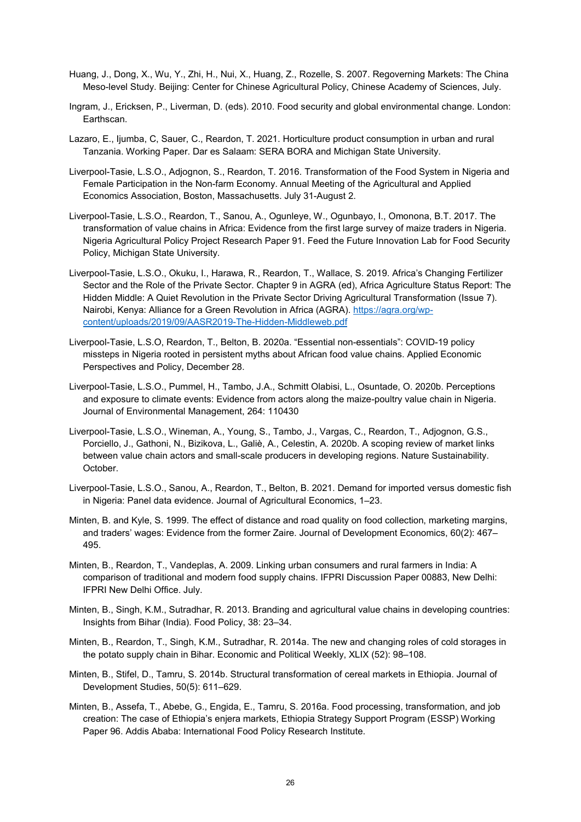- Huang, J., Dong, X., Wu, Y., Zhi, H., Nui, X., Huang, Z., Rozelle, S. 2007. Regoverning Markets: The China Meso-level Study. Beijing: Center for Chinese Agricultural Policy, Chinese Academy of Sciences, July.
- Ingram, J., Ericksen, P., Liverman, D. (eds). 2010. Food security and global environmental change. London: Earthscan.
- Lazaro, E., Ijumba, C, Sauer, C., Reardon, T. 2021. Horticulture product consumption in urban and rural Tanzania. Working Paper. Dar es Salaam: SERA BORA and Michigan State University.
- Liverpool-Tasie, L.S.O., Adjognon, S., Reardon, T. 2016. Transformation of the Food System in Nigeria and Female Participation in the Non-farm Economy. Annual Meeting of the Agricultural and Applied Economics Association, Boston, Massachusetts. July 31-August 2.
- Liverpool-Tasie, L.S.O., Reardon, T., Sanou, A., Ogunleye, W., Ogunbayo, I., Omonona, B.T. 2017. The transformation of value chains in Africa: Evidence from the first large survey of maize traders in Nigeria. Nigeria Agricultural Policy Project Research Paper 91. Feed the Future Innovation Lab for Food Security Policy, Michigan State University.
- Liverpool-Tasie, L.S.O., Okuku, I., Harawa, R., Reardon, T., Wallace, S. 2019. Africa's Changing Fertilizer Sector and the Role of the Private Sector. Chapter 9 in AGRA (ed), Africa Agriculture Status Report: The Hidden Middle: A Quiet Revolution in the Private Sector Driving Agricultural Transformation (Issue 7). Nairobi, Kenya: Alliance for a Green Revolution in Africa (AGRA). [https://agra.org/wp](https://agra.org/wp-content/uploads/2019/09/AASR2019-The-Hidden-Middleweb.pdf)[content/uploads/2019/09/AASR2019-The-Hidden-Middleweb.pdf](https://agra.org/wp-content/uploads/2019/09/AASR2019-The-Hidden-Middleweb.pdf)
- Liverpool-Tasie, L.S.O, Reardon, T., Belton, B. 2020a. "Essential non-essentials": COVID-19 policy missteps in Nigeria rooted in persistent myths about African food value chains. Applied Economic Perspectives and Policy, December 28.
- Liverpool-Tasie, L.S.O., Pummel, H., Tambo, J.A., Schmitt Olabisi, L., Osuntade, O. 2020b. Perceptions and exposure to climate events: Evidence from actors along the maize-poultry value chain in Nigeria. Journal of Environmental Management, 264: 110430
- Liverpool-Tasie, L.S.O., Wineman, A., Young, S., Tambo, J., Vargas, C., Reardon, T., Adjognon, G.S., Porciello, J., Gathoni, N., Bizikova, L., Galiè, A., Celestin, A. 2020b. A scoping review of market links between value chain actors and small-scale producers in developing regions. Nature Sustainability. October.
- Liverpool-Tasie, L.S.O., Sanou, A., Reardon, T., Belton, B. 2021. Demand for imported versus domestic fish in Nigeria: Panel data evidence. Journal of Agricultural Economics, 1–23.
- Minten, B. and Kyle, S. 1999. The effect of distance and road quality on food collection, marketing margins, and traders' wages: Evidence from the former Zaire. Journal of Development Economics, 60(2): 467– 495.
- Minten, B., Reardon, T., Vandeplas, A. 2009. Linking urban consumers and rural farmers in India: A comparison of traditional and modern food supply chains. IFPRI Discussion Paper 00883, New Delhi: IFPRI New Delhi Office. July.
- Minten, B., Singh, K.M., Sutradhar, R. 2013. Branding and agricultural value chains in developing countries: Insights from Bihar (India). Food Policy, 38: 23–34.
- Minten, B., Reardon, T., Singh, K.M., Sutradhar, R. 2014a. The new and changing roles of cold storages in the potato supply chain in Bihar. Economic and Political Weekly, XLIX (52): 98–108.
- Minten, B., Stifel, D., Tamru, S. 2014b. Structural transformation of cereal markets in Ethiopia. Journal of Development Studies, 50(5): 611–629.
- Minten, B., Assefa, T., Abebe, G., Engida, E., Tamru, S. 2016a. Food processing, transformation, and job creation: The case of Ethiopia's enjera markets, Ethiopia Strategy Support Program (ESSP) Working Paper 96. Addis Ababa: International Food Policy Research Institute.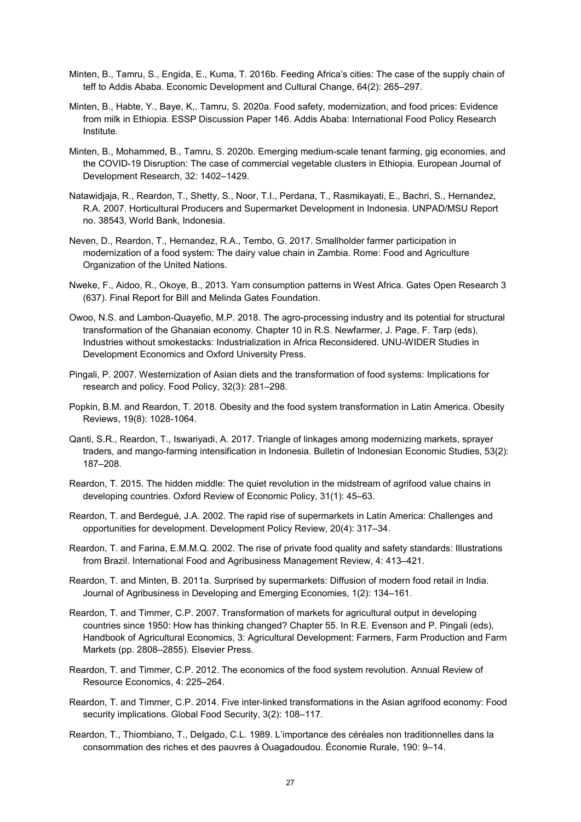- Minten, B., Tamru, S., Engida, E., Kuma, T. 2016b. Feeding Africa's cities: The case of the supply chain of teff to Addis Ababa. Economic Development and Cultural Change, 64(2): 265–297.
- Minten, B., Habte, Y., Baye, K,. Tamru, S. 2020a. Food safety, modernization, and food prices: Evidence from milk in Ethiopia. ESSP Discussion Paper 146. Addis Ababa: International Food Policy Research Institute.
- Minten, B., Mohammed, B., Tamru, S. 2020b. Emerging medium-scale tenant farming, gig economies, and the COVID-19 Disruption: The case of commercial vegetable clusters in Ethiopia. European Journal of Development Research, 32: 1402–1429.
- Natawidjaja, R., Reardon, T., Shetty, S., Noor, T.I., Perdana, T., Rasmikayati, E., Bachri, S., Hernandez, R.A. 2007. Horticultural Producers and Supermarket Development in Indonesia. UNPAD/MSU Report no. 38543, World Bank, Indonesia.
- Neven, D., Reardon, T., Hernandez, R.A., Tembo, G. 2017. Smallholder farmer participation in modernization of a food system: The dairy value chain in Zambia. Rome: Food and Agriculture Organization of the United Nations.
- Nweke, F., Aidoo, R., Okoye, B., 2013. Yam consumption patterns in West Africa. Gates Open Research 3 (637). Final Report for Bill and Melinda Gates Foundation.
- Owoo, N.S. and Lambon-Quayefio, M.P. 2018. The agro-processing industry and its potential for structural transformation of the Ghanaian economy. Chapter 10 in R.S. Newfarmer, J. Page, F. Tarp (eds), Industries without smokestacks: Industrialization in Africa Reconsidered. UNU-WIDER Studies in Development Economics and Oxford University Press.
- Pingali, P. 2007. Westernization of Asian diets and the transformation of food systems: Implications for research and policy. Food Policy, 32(3): 281–298.
- Popkin, B.M. and Reardon, T. 2018. Obesity and the food system transformation in Latin America. Obesity Reviews, 19(8): 1028-1064.
- Qanti, S.R., Reardon, T., Iswariyadi, A. 2017. Triangle of linkages among modernizing markets, sprayer traders, and mango-farming intensification in Indonesia. Bulletin of Indonesian Economic Studies, 53(2): 187–208.
- Reardon, T. 2015. The hidden middle: The quiet revolution in the midstream of agrifood value chains in developing countries. Oxford Review of Economic Policy, 31(1): 45–63.
- Reardon, T. and Berdegué, J.A. 2002. The rapid rise of supermarkets in Latin America: Challenges and opportunities for development. Development Policy Review, 20(4): 317–34.
- Reardon, T. and Farina, E.M.M.Q. 2002. The rise of private food quality and safety standards: Illustrations from Brazil. International Food and Agribusiness Management Review, 4: 413–421.
- Reardon, T. and Minten, B. 2011a. Surprised by supermarkets: Diffusion of modern food retail in India. Journal of Agribusiness in Developing and Emerging Economies, 1(2): 134–161.
- Reardon, T. and Timmer, C.P. 2007. Transformation of markets for agricultural output in developing countries since 1950: How has thinking changed? Chapter 55. In R.E. Evenson and P. Pingali (eds), Handbook of Agricultural Economics, 3: Agricultural Development: Farmers, Farm Production and Farm Markets (pp. 2808–2855). Elsevier Press.
- Reardon, T. and Timmer, C.P. 2012. The economics of the food system revolution. Annual Review of Resource Economics, 4: 225–264.
- Reardon, T. and Timmer, C.P. 2014. Five inter-linked transformations in the Asian agrifood economy: Food security implications. Global Food Security, 3(2): 108–117.
- Reardon, T., Thiombiano, T., Delgado, C.L. 1989. L'importance des céréales non traditionnelles dans la consommation des riches et des pauvres à Ouagadoudou. Économie Rurale, 190: 9–14.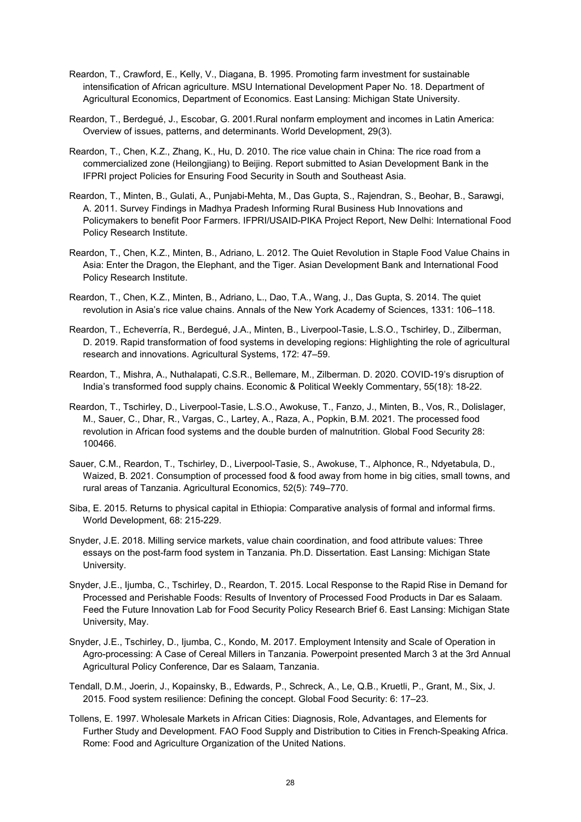- Reardon, T., Crawford, E., Kelly, V., Diagana, B. 1995. Promoting farm investment for sustainable intensification of African agriculture. MSU International Development Paper No. 18. Department of Agricultural Economics, Department of Economics. East Lansing: Michigan State University.
- Reardon, T., Berdegué, J., Escobar, G. 2001.Rural nonfarm employment and incomes in Latin America: Overview of issues, patterns, and determinants. World Development, 29(3).
- Reardon, T., Chen, K.Z., Zhang, K., Hu, D. 2010. The rice value chain in China: The rice road from a commercialized zone (Heilongjiang) to Beijing. Report submitted to Asian Development Bank in the IFPRI project Policies for Ensuring Food Security in South and Southeast Asia.
- Reardon, T., Minten, B., Gulati, A., Punjabi-Mehta, M., Das Gupta, S., Rajendran, S., Beohar, B., Sarawgi, A. 2011. Survey Findings in Madhya Pradesh Informing Rural Business Hub Innovations and Policymakers to benefit Poor Farmers. IFPRI/USAID-PIKA Project Report, New Delhi: International Food Policy Research Institute.
- Reardon, T., Chen, K.Z., Minten, B., Adriano, L. 2012. The Quiet Revolution in Staple Food Value Chains in Asia: Enter the Dragon, the Elephant, and the Tiger. Asian Development Bank and International Food Policy Research Institute.
- Reardon, T., Chen, K.Z., Minten, B., Adriano, L., Dao, T.A., Wang, J., Das Gupta, S. 2014. The quiet revolution in Asia's rice value chains. Annals of the New York Academy of Sciences, 1331: 106–118.
- Reardon, T., Echeverría, R., Berdegué, J.A., Minten, B., Liverpool-Tasie, L.S.O., Tschirley, D., Zilberman, D. 2019. Rapid transformation of food systems in developing regions: Highlighting the role of agricultural research and innovations. Agricultural Systems, 172: 47–59.
- Reardon, T., Mishra, A., Nuthalapati, C.S.R., Bellemare, M., Zilberman. D. 2020. COVID-19's disruption of India's transformed food supply chains. Economic & Political Weekly Commentary, 55(18): 18-22.
- Reardon, T., Tschirley, D., Liverpool-Tasie, L.S.O., Awokuse, T., Fanzo, J., Minten, B., Vos, R., Dolislager, M., Sauer, C., Dhar, R., Vargas, C., Lartey, A., Raza, A., Popkin, B.M. 2021. The processed food revolution in African food systems and the double burden of malnutrition. Global Food Security 28: 100466.
- Sauer, C.M., Reardon, T., Tschirley, D., Liverpool-Tasie, S., Awokuse, T., Alphonce, R., Ndyetabula, D., Waized, B. 2021. Consumption of processed food & food away from home in big cities, small towns, and rural areas of Tanzania. Agricultural Economics, 52(5): 749–770.
- Siba, E. 2015. Returns to physical capital in Ethiopia: Comparative analysis of formal and informal firms. World Development, 68: 215-229.
- Snyder, J.E. 2018. Milling service markets, value chain coordination, and food attribute values: Three essays on the post-farm food system in Tanzania. Ph.D. Dissertation. East Lansing: Michigan State University.
- Snyder, J.E., Ijumba, C., Tschirley, D., Reardon, T. 2015. Local Response to the Rapid Rise in Demand for Processed and Perishable Foods: Results of Inventory of Processed Food Products in Dar es Salaam. Feed the Future Innovation Lab for Food Security Policy Research Brief 6. East Lansing: Michigan State University, May.
- Snyder, J.E., Tschirley, D., Ijumba, C., Kondo, M. 2017. Employment Intensity and Scale of Operation in Agro-processing: A Case of Cereal Millers in Tanzania. Powerpoint presented March 3 at the 3rd Annual Agricultural Policy Conference, Dar es Salaam, Tanzania.
- Tendall, D.M., Joerin, J., Kopainsky, B., Edwards, P., Schreck, A., Le, Q.B., Kruetli, P., Grant, M., Six, J. 2015. Food system resilience: Defining the concept. Global Food Security: 6: 17–23.
- Tollens, E. 1997. Wholesale Markets in African Cities: Diagnosis, Role, Advantages, and Elements for Further Study and Development. FAO Food Supply and Distribution to Cities in French-Speaking Africa. Rome: Food and Agriculture Organization of the United Nations.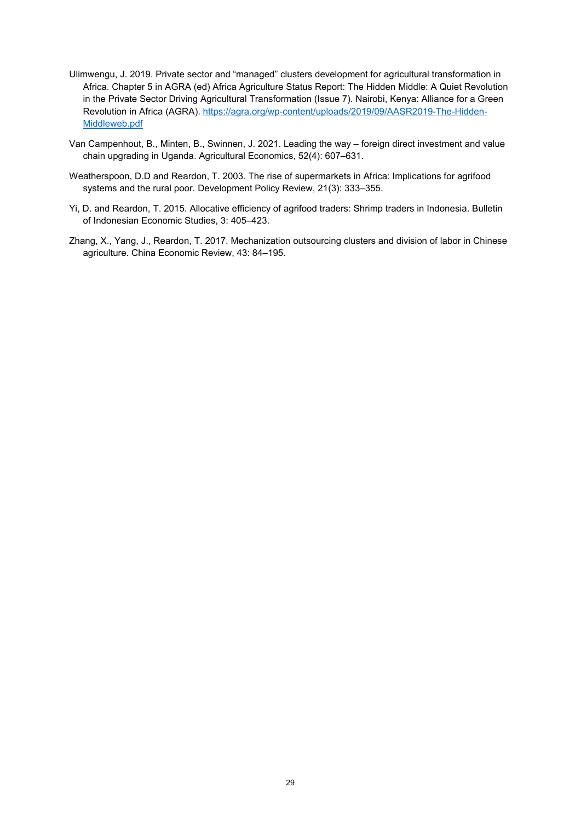- Ulimwengu, J. 2019. Private sector and "managed" clusters development for agricultural transformation in Africa. Chapter 5 in AGRA (ed) Africa Agriculture Status Report: The Hidden Middle: A Quiet Revolution in the Private Sector Driving Agricultural Transformation (Issue 7). Nairobi, Kenya: Alliance for a Green Revolution in Africa (AGRA). [https://agra.org/wp-content/uploads/2019/09/AASR2019-The-Hidden-](https://agra.org/wp-content/uploads/2019/09/AASR2019-The-Hidden-Middleweb.pdf)[Middleweb.pdf](https://agra.org/wp-content/uploads/2019/09/AASR2019-The-Hidden-Middleweb.pdf)
- Van Campenhout, B., Minten, B., Swinnen, J. 2021. Leading the way foreign direct investment and value chain upgrading in Uganda. Agricultural Economics, 52(4): 607–631.
- Weatherspoon, D.D and Reardon, T. 2003. The rise of supermarkets in Africa: Implications for agrifood systems and the rural poor. Development Policy Review, 21(3): 333–355.
- Yi, D. and Reardon, T. 2015. Allocative efficiency of agrifood traders: Shrimp traders in Indonesia. Bulletin of Indonesian Economic Studies, 3: 405–423.
- Zhang, X., Yang, J., Reardon, T. 2017. Mechanization outsourcing clusters and division of labor in Chinese agriculture. China Economic Review, 43: 84–195.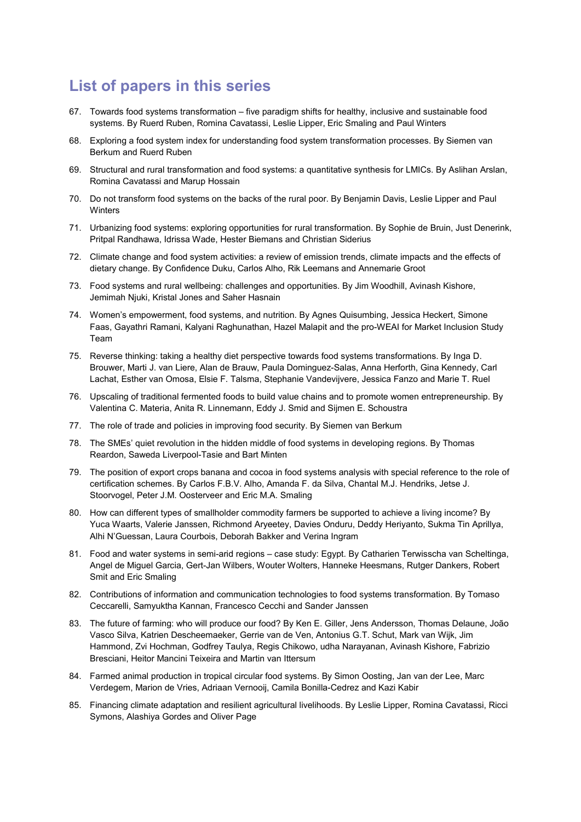# **List of papers in this series**

- 67. Towards food systems transformation five paradigm shifts for healthy, inclusive and sustainable food systems. By Ruerd Ruben, Romina Cavatassi, Leslie Lipper, Eric Smaling and Paul Winters
- 68. Exploring a food system index for understanding food system transformation processes. By Siemen van Berkum and Ruerd Ruben
- 69. Structural and rural transformation and food systems: a quantitative synthesis for LMICs. By Aslihan Arslan, Romina Cavatassi and Marup Hossain
- 70. Do not transform food systems on the backs of the rural poor. By Benjamin Davis, Leslie Lipper and Paul **Winters**
- 71. Urbanizing food systems: exploring opportunities for rural transformation. By Sophie de Bruin, Just Denerink, Pritpal Randhawa, Idrissa Wade, Hester Biemans and Christian Siderius
- 72. Climate change and food system activities: a review of emission trends, climate impacts and the effects of dietary change. By Confidence Duku, Carlos Alho, Rik Leemans and Annemarie Groot
- 73. Food systems and rural wellbeing: challenges and opportunities. By Jim Woodhill, Avinash Kishore, Jemimah Njuki, Kristal Jones and Saher Hasnain
- 74. Women's empowerment, food systems, and nutrition. By Agnes Quisumbing, Jessica Heckert, Simone Faas, Gayathri Ramani, Kalyani Raghunathan, Hazel Malapit and the pro-WEAI for Market Inclusion Study Team
- 75. Reverse thinking: taking a healthy diet perspective towards food systems transformations. By Inga D. Brouwer, Marti J. van Liere, Alan de Brauw, Paula Dominguez-Salas, Anna Herforth, Gina Kennedy, Carl Lachat, Esther van Omosa, Elsie F. Talsma, Stephanie Vandevijvere, Jessica Fanzo and Marie T. Ruel
- 76. Upscaling of traditional fermented foods to build value chains and to promote women entrepreneurship. By Valentina C. Materia, Anita R. Linnemann, Eddy J. Smid and Sijmen E. Schoustra
- 77. The role of trade and policies in improving food security. By Siemen van Berkum
- 78. The SMEs' quiet revolution in the hidden middle of food systems in developing regions. By Thomas Reardon, Saweda Liverpool-Tasie and Bart Minten
- 79. The position of export crops banana and cocoa in food systems analysis with special reference to the role of certification schemes. By Carlos F.B.V. Alho, Amanda F. da Silva, Chantal M.J. Hendriks, Jetse J. Stoorvogel, Peter J.M. Oosterveer and Eric M.A. Smaling
- 80. How can different types of smallholder commodity farmers be supported to achieve a living income? By Yuca Waarts, Valerie Janssen, Richmond Aryeetey, Davies Onduru, Deddy Heriyanto, Sukma Tin Aprillya, Alhi N'Guessan, Laura Courbois, Deborah Bakker and Verina Ingram
- 81. Food and water systems in semi-arid regions case study: Egypt. By Catharien Terwisscha van Scheltinga, Angel de Miguel Garcia, Gert-Jan Wilbers, Wouter Wolters, Hanneke Heesmans, Rutger Dankers, Robert Smit and Eric Smaling
- 82. Contributions of information and communication technologies to food systems transformation. By Tomaso Ceccarelli, Samyuktha Kannan, Francesco Cecchi and Sander Janssen
- 83. The future of farming: who will produce our food? By Ken E. Giller, Jens Andersson, Thomas Delaune, João Vasco Silva, Katrien Descheemaeker, Gerrie van de Ven, Antonius G.T. Schut, Mark van Wijk, Jim Hammond, Zvi Hochman, Godfrey Taulya, Regis Chikowo, udha Narayanan, Avinash Kishore, Fabrizio Bresciani, Heitor Mancini Teixeira and Martin van Ittersum
- 84. Farmed animal production in tropical circular food systems. By Simon Oosting, Jan van der Lee, Marc Verdegem, Marion de Vries, Adriaan Vernooij, Camila Bonilla-Cedrez and Kazi Kabir
- 85. Financing climate adaptation and resilient agricultural livelihoods. By Leslie Lipper, Romina Cavatassi, Ricci Symons, Alashiya Gordes and Oliver Page